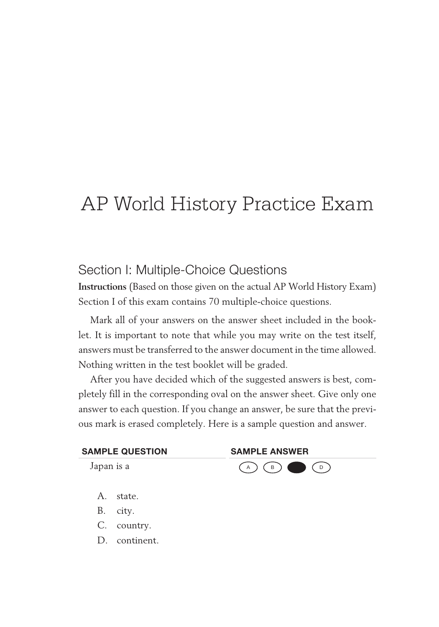# AP World History Practice Exam

## Section I: Multiple-Choice Questions

**Instructions** (Based on those given on the actual AP World History Exam) Section I of this exam contains 70 multiple-choice questions.

Mark all of your answers on the answer sheet included in the booklet. It is important to note that while you may write on the test itself, answers must be transferred to the answer document in the time allowed. Nothing written in the test booklet will be graded.

After you have decided which of the suggested answers is best, completely fill in the corresponding oval on the answer sheet. Give only one answer to each question. If you change an answer, be sure that the previous mark is erased completely. Here is a sample question and answer.

| <b>SAMPLE QUESTION</b> | <b>SAMPLE ANSWER</b> |
|------------------------|----------------------|
| Japan is a             | $(A) (B) (C)$        |

- A. state.
- B. city.
- C. country.
- D. continent.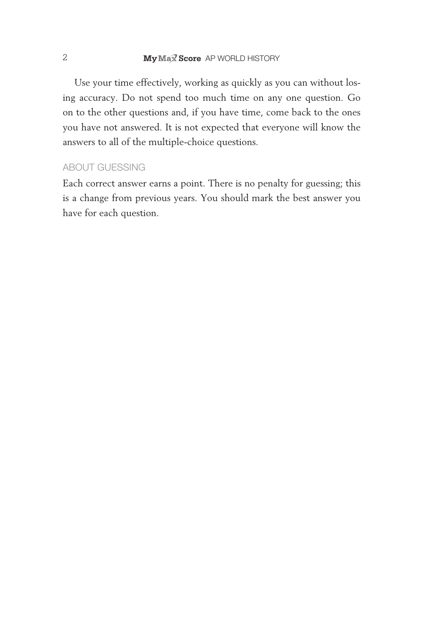Use your time effectively, working as quickly as you can without losing accuracy. Do not spend too much time on any one question. Go on to the other questions and, if you have time, come back to the ones you have not answered. It is not expected that everyone will know the answers to all of the multiple- choice questions.

#### About GueSSInG

Each correct answer earns a point. There is no penalty for guessing; this is a change from previous years. You should mark the best answer you have for each question.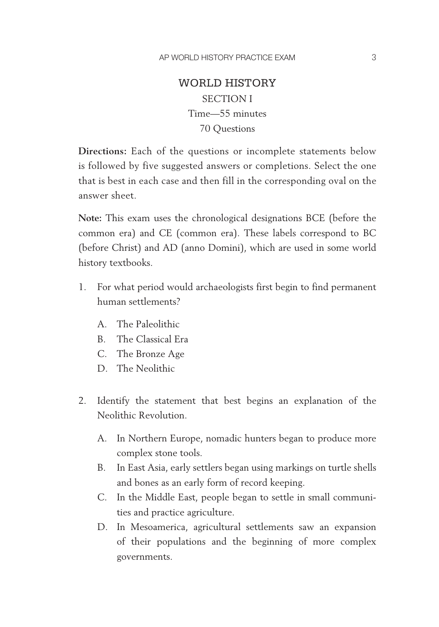## WORLD HISTORY SECTION I Time— 55 minutes 70 Questions

**Directions:** Each of the questions or incomplete statements below is followed by five suggested answers or completions. Select the one that is best in each case and then fill in the corresponding oval on the answer sheet.

**Note:** This exam uses the chronological designations BCE (before the common era) and CE (common era). These labels correspond to BC (before Christ) and AD (anno Domini), which are used in some world history textbooks.

- 1. For what period would archaeologists first begin to find permanent human settlements?
	- A. The Paleolithic
	- B. The Classical Era
	- C. The Bronze Age
	- D. The Neolithic
- 2. Identify the statement that best begins an explanation of the Neolithic Revolution.
	- A. In Northern Europe, nomadic hunters began to produce more complex stone tools.
	- B. In East Asia, early settlers began using markings on turtle shells and bones as an early form of record keeping.
	- C. In the Middle East, people began to settle in small communities and practice agriculture.
	- D. In Mesoamerica, agricultural settlements saw an expansion of their populations and the beginning of more complex governments.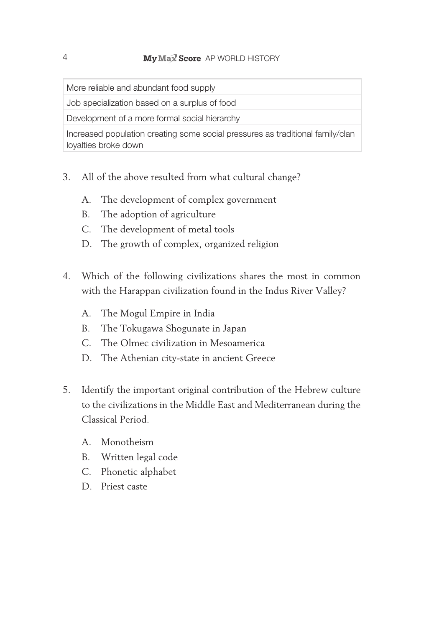More reliable and abundant food supply

Job specialization based on a surplus of food

Development of a more formal social hierarchy

Increased population creating some social pressures as traditional family/clan loyalties broke down

- 3. All of the above resulted from what cultural change?
	- A. The development of complex government
	- B. The adoption of agriculture
	- C. The development of metal tools
	- D. The growth of complex, organized religion
- 4. Which of the following civilizations shares the most in common with the Harappan civilization found in the Indus River Valley?
	- A. The Mogul Empire in India
	- B. The Tokugawa Shogunate in Japan
	- C. The Olmec civilization in Mesoamerica
	- D. The Athenian city-state in ancient Greece
- 5. Identify the important original contribution of the Hebrew culture to the civilizations in the Middle East and Mediterranean during the Classical Period.
	- A. Monotheism
	- B. Written legal code
	- C. Phonetic alphabet
	- D. Priest caste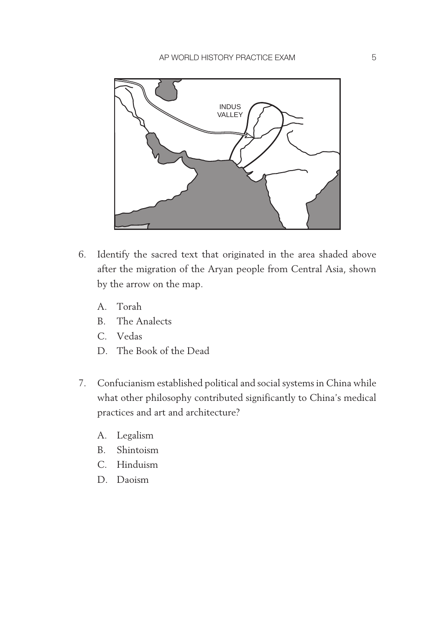

- 6. Identify the sacred text that originated in the area shaded above after the migration of the Aryan people from Central Asia, shown by the arrow on the map.
	- A. Torah
	- B. The Analects
	- C. Vedas
	- D. The Book of the Dead
- 7. Confucianism established political and social systems in China while what other philosophy contributed significantly to China's medical practices and art and architecture?
	- A. Legalism
	- B. Shintoism
	- C. Hinduism
	- D. Daoism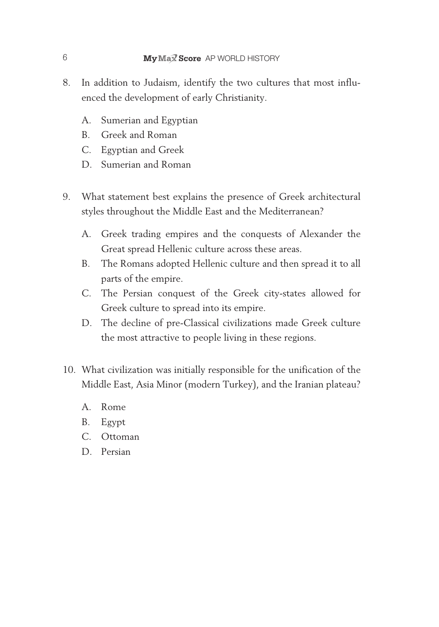- 8. In addition to Judaism, identify the two cultures that most influenced the development of early Christianity.
	- A. Sumerian and Egyptian
	- B. Greek and Roman
	- C. Egyptian and Greek
	- D. Sumerian and Roman
- 9. What statement best explains the presence of Greek architectural styles throughout the Middle East and the Mediterranean?
	- A. Greek trading empires and the conquests of Alexander the Great spread Hellenic culture across these areas.
	- B. The Romans adopted Hellenic culture and then spread it to all parts of the empire.
	- C. The Persian conquest of the Greek city-states allowed for Greek culture to spread into its empire.
	- D. The decline of pre-Classical civilizations made Greek culture the most attractive to people living in these regions.
- 10. What civilization was initially responsible for the unification of the Middle East, Asia Minor (modern Turkey), and the Iranian plateau?
	- A. Rome
	- B. Egypt
	- C. Ottoman
	- D. Persian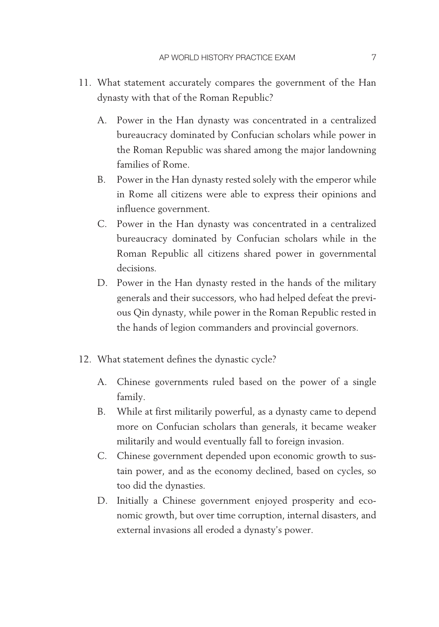- 11. What statement accurately compares the government of the Han dynasty with that of the Roman Republic?
	- A. Power in the Han dynasty was concentrated in a centralized bureaucracy dominated by Confucian scholars while power in the Roman Republic was shared among the major landowning families of Rome.
	- B. Power in the Han dynasty rested solely with the emperor while in Rome all citizens were able to express their opinions and influence government.
	- C. Power in the Han dynasty was concentrated in a centralized bureaucracy dominated by Confucian scholars while in the Roman Republic all citizens shared power in governmental decisions.
	- D. Power in the Han dynasty rested in the hands of the military generals and their successors, who had helped defeat the previous Qin dynasty, while power in the Roman Republic rested in the hands of legion commanders and provincial governors.
- 12. What statement defines the dynastic cycle?
	- A. Chinese governments ruled based on the power of a single family.
	- B. While at first militarily powerful, as a dynasty came to depend more on Confucian scholars than generals, it became weaker militarily and would eventually fall to foreign invasion.
	- C. Chinese government depended upon economic growth to sustain power, and as the economy declined, based on cycles, so too did the dynasties.
	- D. Initially a Chinese government enjoyed prosperity and economic growth, but over time corruption, internal disasters, and external invasions all eroded a dynasty's power.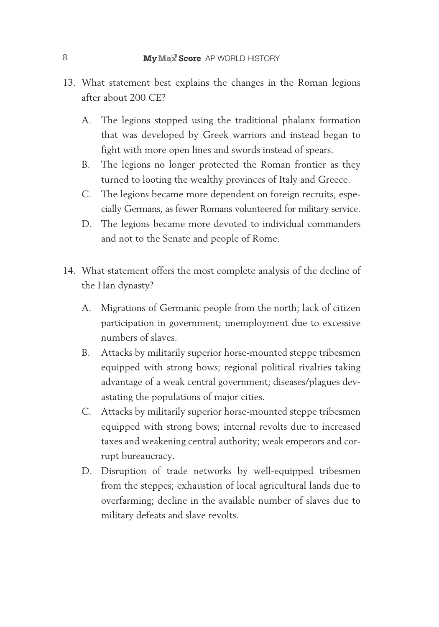- 13. What statement best explains the changes in the Roman legions after about 200 CE?
	- A. The legions stopped using the traditional phalanx formation that was developed by Greek warriors and instead began to fight with more open lines and swords instead of spears.
	- B. The legions no longer protected the Roman frontier as they turned to looting the wealthy provinces of Italy and Greece.
	- C. The legions became more dependent on foreign recruits, especially Germans, as fewer Romans volunteered for military service.
	- D. The legions became more devoted to individual commanders and not to the Senate and people of Rome.
- 14. What statement offers the most complete analysis of the decline of the Han dynasty?
	- A. Migrations of Germanic people from the north; lack of citizen participation in government; unemployment due to excessive numbers of slaves.
	- B. Attacks by militarily superior horse-mounted steppe tribesmen equipped with strong bows; regional political rivalries taking advantage of a weak central government; diseases/plagues devastating the populations of major cities.
	- C. Attacks by militarily superior horse-mounted steppe tribesmen equipped with strong bows; internal revolts due to increased taxes and weakening central authority; weak emperors and corrupt bureaucracy.
	- D. Disruption of trade networks by well-equipped tribesmen from the steppes; exhaustion of local agricultural lands due to overfarming; decline in the available number of slaves due to military defeats and slave revolts.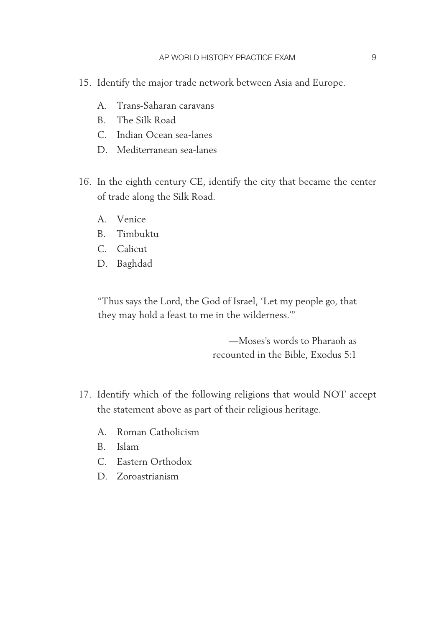- 15. Identify the major trade network between Asia and Europe.
	- A. Trans- Saharan caravans
	- B. The Silk Road
	- C. Indian Ocean sea-lanes
	- D. Mediterranean sea-lanes
- 16. In the eighth century CE, identify the city that became the center of trade along the Silk Road.
	- A. Venice
	- B. Timbuktu
	- C. Calicut
	- D. Baghdad

"Thus says the Lord, the God of Israel, 'Let my people go, that they may hold a feast to me in the wilderness.'"

> — Moses's words to Pharaoh as recounted in the Bible, Exodus 5:1

- 17. Identify which of the following religions that would NOT accept the statement above as part of their religious heritage.
	- A. Roman Catholicism
	- B. Islam
	- C. Eastern Orthodox
	- D. Zoroastrianism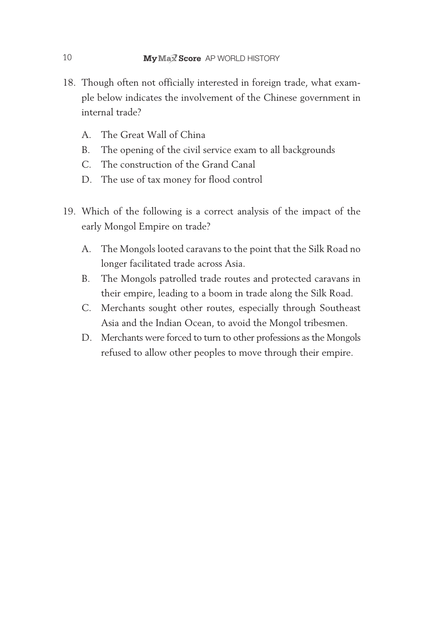- 18. Though often not officially interested in foreign trade, what example below indicates the involvement of the Chinese government in internal trade?
	- A. The Great Wall of China
	- B. The opening of the civil service exam to all backgrounds
	- C. The construction of the Grand Canal
	- D. The use of tax money for flood control
- 19. Which of the following is a correct analysis of the impact of the early Mongol Empire on trade?
	- A. The Mongols looted caravans to the point that the Silk Road no longer facilitated trade across Asia.
	- B. The Mongols patrolled trade routes and protected caravans in their empire, leading to a boom in trade along the Silk Road.
	- C. Merchants sought other routes, especially through Southeast Asia and the Indian Ocean, to avoid the Mongol tribesmen.
	- D. Merchants were forced to turn to other professions as the Mongols refused to allow other peoples to move through their empire.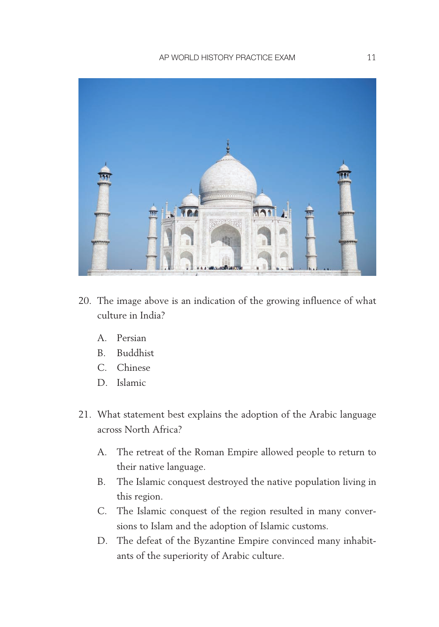

- 20. The image above is an indication of the growing influence of what culture in India?
	- A. Persian
	- B. Buddhist
	- C. Chinese
	- D. Islamic
- 21. What statement best explains the adoption of the Arabic language across North Africa?
	- A. The retreat of the Roman Empire allowed people to return to their native language.
	- B. The Islamic conquest destroyed the native population living in this region.
	- C. The Islamic conquest of the region resulted in many conversions to Islam and the adoption of Islamic customs.
	- D. The defeat of the Byzantine Empire convinced many inhabitants of the superiority of Arabic culture.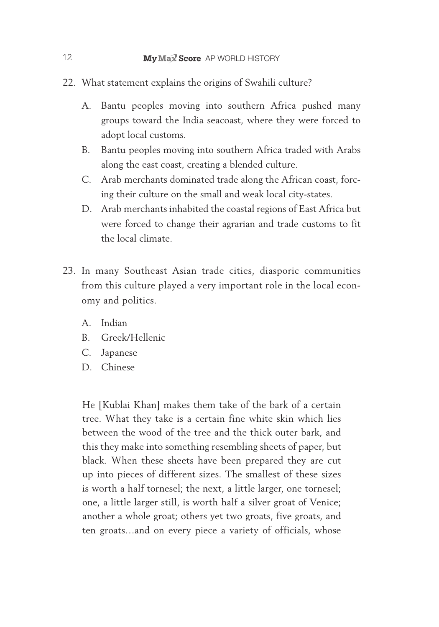- 22. What statement explains the origins of Swahili culture?
	- A. Bantu peoples moving into southern Africa pushed many groups toward the India seacoast, where they were forced to adopt local customs.
	- B. Bantu peoples moving into southern Africa traded with Arabs along the east coast, creating a blended culture.
	- C. Arab merchants dominated trade along the African coast, forcing their culture on the small and weak local city-states.
	- D. Arab merchants inhabited the coastal regions of East Africa but were forced to change their agrarian and trade customs to fit the local climate.
- 23. In many Southeast Asian trade cities, diasporic communities from this culture played a very important role in the local economy and politics.
	- A. Indian
	- B. Greek/Hellenic
	- C. Japanese
	- D. Chinese

He [Kublai Khan] makes them take of the bark of a certain tree. What they take is a certain fine white skin which lies between the wood of the tree and the thick outer bark, and this they make into something resembling sheets of paper, but black. When these sheets have been prepared they are cut up into pieces of different sizes. The smallest of these sizes is worth a half tornesel; the next, a little larger, one tornesel; one, a little larger still, is worth half a silver groat of Venice; another a whole groat; others yet two groats, five groats, and ten groats…and on every piece a variety of officials, whose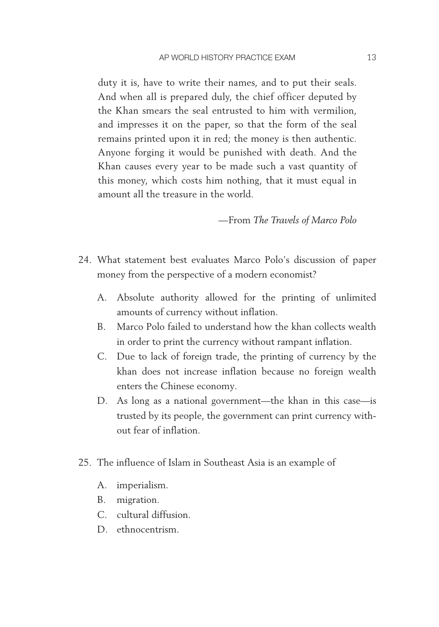duty it is, have to write their names, and to put their seals. And when all is prepared duly, the chief officer deputed by the Khan smears the seal entrusted to him with vermilion, and impresses it on the paper, so that the form of the seal remains printed upon it in red; the money is then authentic. Anyone forging it would be punished with death. And the Khan causes every year to be made such a vast quantity of this money, which costs him nothing, that it must equal in amount all the treasure in the world.

— From *The Travels of Marco Polo*

- 24. What statement best evaluates Marco Polo's discussion of paper money from the perspective of a modern economist?
	- A. Absolute authority allowed for the printing of unlimited amounts of currency without inflation.
	- B. Marco Polo failed to understand how the khan collects wealth in order to print the currency without rampant inflation.
	- C. Due to lack of foreign trade, the printing of currency by the khan does not increase inflation because no foreign wealth enters the Chinese economy.
	- D. As long as a national government—the khan in this case—is trusted by its people, the government can print currency without fear of inflation.
- 25. The influence of Islam in Southeast Asia is an example of
	- A. imperialism.
	- B. migration.
	- C. cultural diffusion.
	- D. ethnocentrism.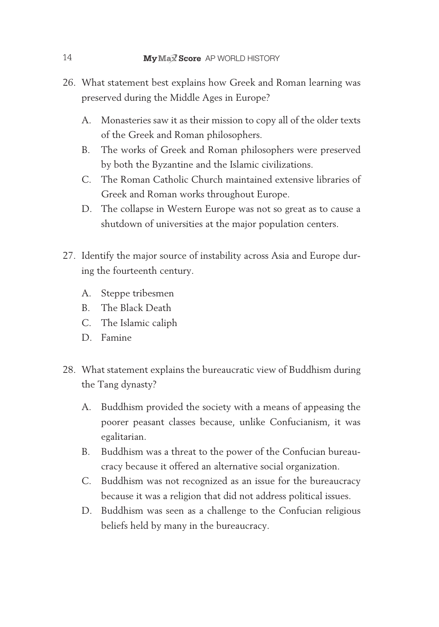- 26. What statement best explains how Greek and Roman learning was preserved during the Middle Ages in Europe?
	- A. Monasteries saw it as their mission to copy all of the older texts of the Greek and Roman philosophers.
	- B. The works of Greek and Roman philosophers were preserved by both the Byzantine and the Islamic civilizations.
	- C. The Roman Catholic Church maintained extensive libraries of Greek and Roman works throughout Europe.
	- D. The collapse in Western Europe was not so great as to cause a shutdown of universities at the major population centers.
- 27. Identify the major source of instability across Asia and Europe during the fourteenth century.
	- A. Steppe tribesmen
	- B. The Black Death
	- C. The Islamic caliph
	- D. Famine
- 28. What statement explains the bureaucratic view of Buddhism during the Tang dynasty?
	- A. Buddhism provided the society with a means of appeasing the poorer peasant classes because, unlike Confucianism, it was egalitarian.
	- B. Buddhism was a threat to the power of the Confucian bureaucracy because it offered an alternative social organization.
	- C. Buddhism was not recognized as an issue for the bureaucracy because it was a religion that did not address political issues.
	- D. Buddhism was seen as a challenge to the Confucian religious beliefs held by many in the bureaucracy.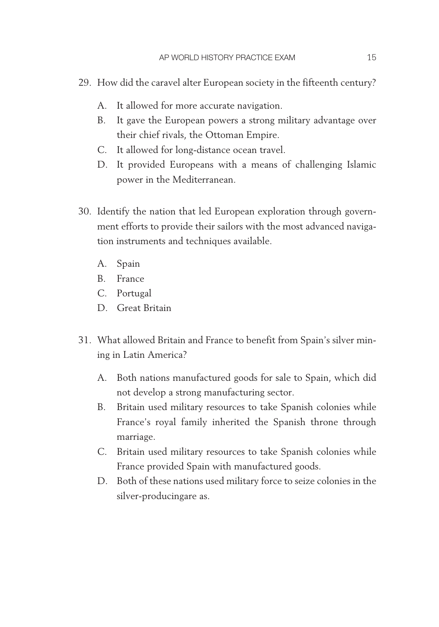- 29. How did the caravel alter European society in the fifteenth century?
	- A. It allowed for more accurate navigation.
	- B. It gave the European powers a strong military advantage over their chief rivals, the Ottoman Empire.
	- C. It allowed for long- distance ocean travel.
	- D. It provided Europeans with a means of challenging Islamic power in the Mediterranean.
- 30. Identify the nation that led European exploration through government efforts to provide their sailors with the most advanced navigation instruments and techniques available.
	- A. Spain
	- B. France
	- C. Portugal
	- D. Great Britain
- 31. What allowed Britain and France to benefit from Spain's silver mining in Latin America?
	- A. Both nations manufactured goods for sale to Spain, which did not develop a strong manufacturing sector.
	- B. Britain used military resources to take Spanish colonies while France's royal family inherited the Spanish throne through marriage.
	- C. Britain used military resources to take Spanish colonies while France provided Spain with manufactured goods.
	- D. Both of these nations used military force to seize colonies in the silver-producingare as.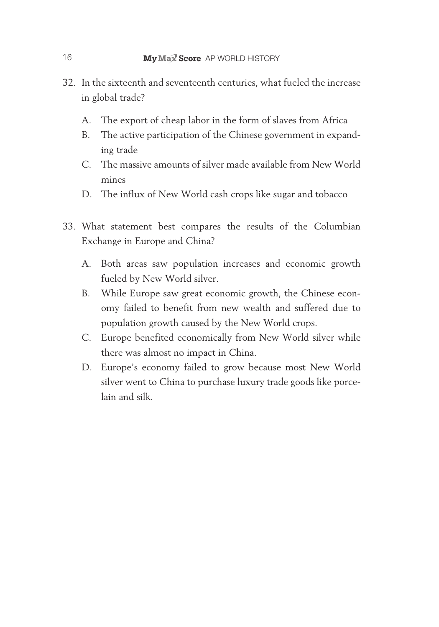- 32. In the sixteenth and seventeenth centuries, what fueled the increase in global trade?
	- A. The export of cheap labor in the form of slaves from Africa
	- B. The active participation of the Chinese government in expanding trade
	- C. The massive amounts of silver made available from New World mines
	- D. The influx of New World cash crops like sugar and tobacco
- 33. What statement best compares the results of the Columbian Exchange in Europe and China?
	- A. Both areas saw population increases and economic growth fueled by New World silver.
	- B. While Europe saw great economic growth, the Chinese economy failed to benefit from new wealth and suffered due to population growth caused by the New World crops.
	- C. Europe benefited economically from New World silver while there was almost no impact in China.
	- D. Europe's economy failed to grow because most New World silver went to China to purchase luxury trade goods like porcelain and silk.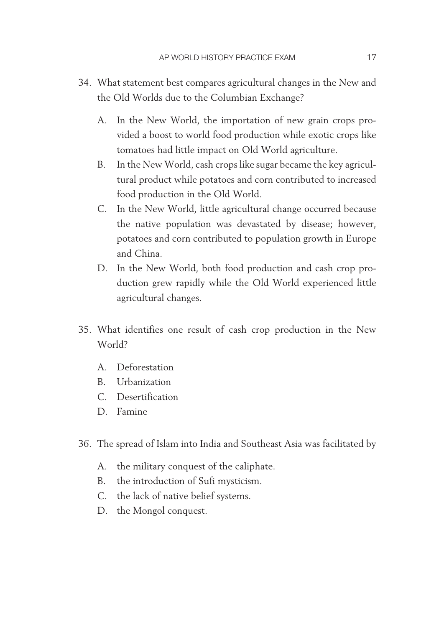- 34. What statement best compares agricultural changes in the New and the Old Worlds due to the Columbian Exchange?
	- A. In the New World, the importation of new grain crops provided a boost to world food production while exotic crops like tomatoes had little impact on Old World agriculture.
	- B. In the New World, cash crops like sugar became the key agricultural product while potatoes and corn contributed to increased food production in the Old World.
	- C. In the New World, little agricultural change occurred because the native population was devastated by disease; however, potatoes and corn contributed to population growth in Europe and China.
	- D. In the New World, both food production and cash crop production grew rapidly while the Old World experienced little agricultural changes.
- 35. What identifies one result of cash crop production in the New World?
	- A. Deforestation
	- B. Urbanization
	- C. Desertification
	- D. Famine
- 36. The spread of Islam into India and Southeast Asia was facilitated by
	- A. the military conquest of the caliphate.
	- B. the introduction of Sufi mysticism.
	- C. the lack of native belief systems.
	- D. the Mongol conquest.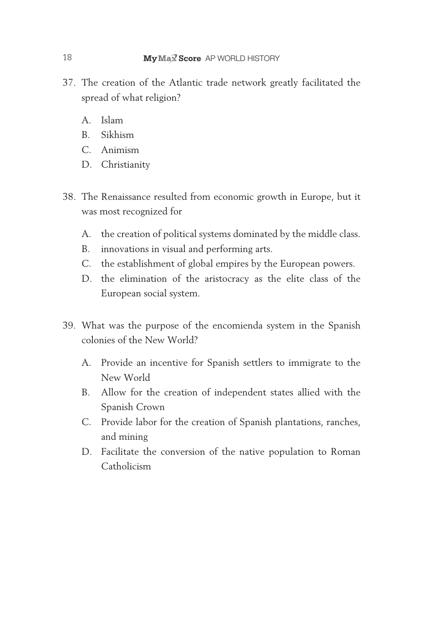- 37. The creation of the Atlantic trade network greatly facilitated the spread of what religion?
	- A. Islam
	- B. Sikhism
	- C. Animism
	- D. Christianity
- 38. The Renaissance resulted from economic growth in Europe, but it was most recognized for
	- A. the creation of political systems dominated by the middle class.
	- B. innovations in visual and performing arts.
	- C. the establishment of global empires by the European powers.
	- D. the elimination of the aristocracy as the elite class of the European social system.
- 39. What was the purpose of the encomienda system in the Spanish colonies of the New World?
	- A. Provide an incentive for Spanish settlers to immigrate to the New World
	- B. Allow for the creation of independent states allied with the Spanish Crown
	- C. Provide labor for the creation of Spanish plantations, ranches, and mining
	- D. Facilitate the conversion of the native population to Roman Catholicism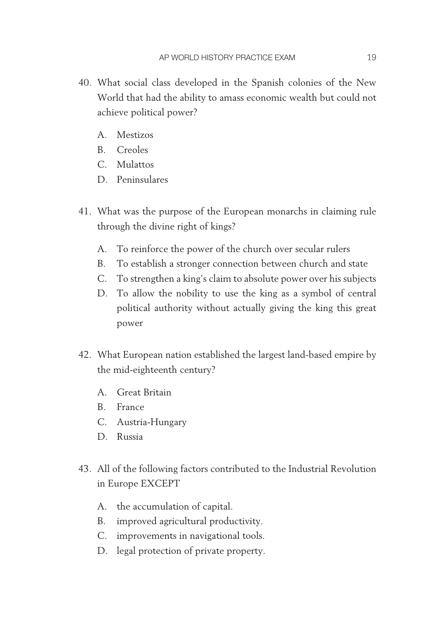- 40. What social class developed in the Spanish colonies of the New World that had the ability to amass economic wealth but could not achieve political power?
	- A. Mestizos
	- B. Creoles
	- C. Mulattos
	- D. Peninsulares
- 41. What was the purpose of the European monarchs in claiming rule through the divine right of kings?
	- A. To reinforce the power of the church over secular rulers
	- B. To establish a stronger connection between church and state
	- C. To strengthen a king's claim to absolute power over his subjects
	- D. To allow the nobility to use the king as a symbol of central political authority without actually giving the king this great power
- 42. What European nation established the largest land-based empire by the mid-eighteenth century?
	- A. Great Britain
	- B. France
	- C. Austria-Hungary
	- D. Russia
- 43. All of the following factors contributed to the Industrial Revolution in Europe EXCEPT
	- A. the accumulation of capital.
	- B. improved agricultural productivity.
	- C. improvements in navigational tools.
	- D. legal protection of private property.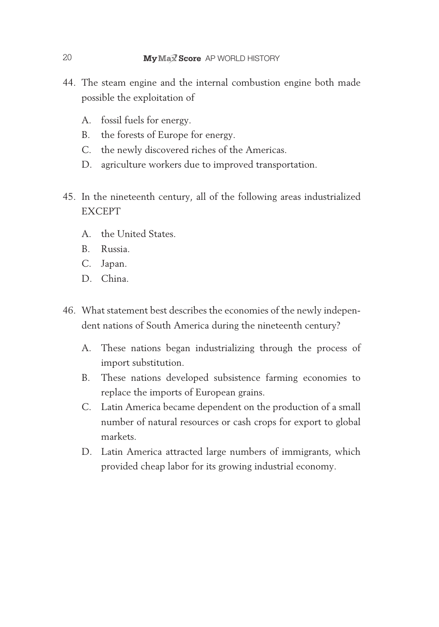- 44. The steam engine and the internal combustion engine both made possible the exploitation of
	- A. fossil fuels for energy.
	- B. the forests of Europe for energy.
	- C. the newly discovered riches of the Americas.
	- D. agriculture workers due to improved transportation.
- 45. In the nineteenth century, all of the following areas industrialized EXCEPT
	- A. the United States.
	- B. Russia.
	- C. Japan.
	- D. China.
- 46. What statement best describes the economies of the newly independent nations of South America during the nineteenth century?
	- A. These nations began industrializing through the process of import substitution.
	- B. These nations developed subsistence farming economies to replace the imports of European grains.
	- C. Latin America became dependent on the production of a small number of natural resources or cash crops for export to global markets.
	- D. Latin America attracted large numbers of immigrants, which provided cheap labor for its growing industrial economy.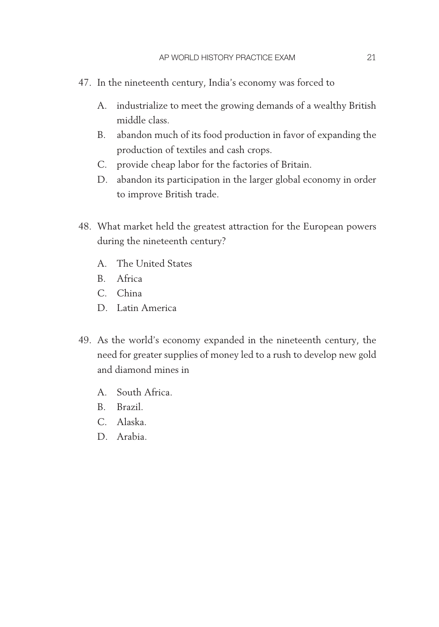- 47. In the nineteenth century, India's economy was forced to
	- A. industrialize to meet the growing demands of a wealthy British middle class.
	- B. abandon much of its food production in favor of expanding the production of textiles and cash crops.
	- C. provide cheap labor for the factories of Britain.
	- D. abandon its participation in the larger global economy in order to improve British trade.
- 48. What market held the greatest attraction for the European powers during the nineteenth century?
	- A. The United States
	- B. Africa
	- C. China
	- D. Latin America
- 49. As the world's economy expanded in the nineteenth century, the need for greater supplies of money led to a rush to develop new gold and diamond mines in
	- A. South Africa.
	- B. Brazil.
	- C. Alaska.
	- D. Arabia.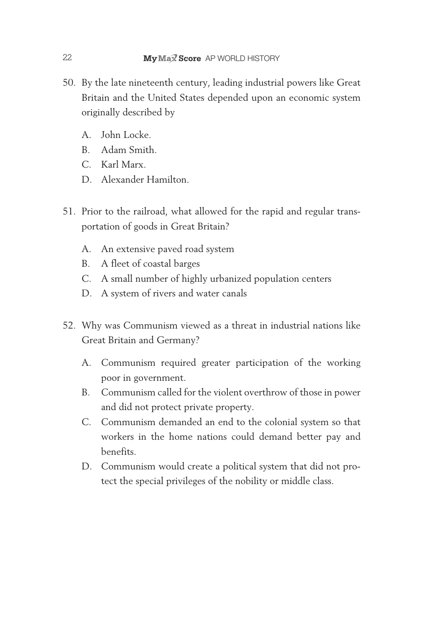- 50. By the late nineteenth century, leading industrial powers like Great Britain and the United States depended upon an economic system originally described by
	- A. John Locke.
	- B. Adam Smith.
	- C. Karl Marx.
	- D. Alexander Hamilton.
- 51. Prior to the railroad, what allowed for the rapid and regular transportation of goods in Great Britain?
	- A. An extensive paved road system
	- B. A fleet of coastal barges
	- C. A small number of highly urbanized population centers
	- D. A system of rivers and water canals
- 52. Why was Communism viewed as a threat in industrial nations like Great Britain and Germany?
	- A. Communism required greater participation of the working poor in government.
	- B. Communism called for the violent overthrow of those in power and did not protect private property.
	- C. Communism demanded an end to the colonial system so that workers in the home nations could demand better pay and benefits.
	- D. Communism would create a political system that did not protect the special privileges of the nobility or middle class.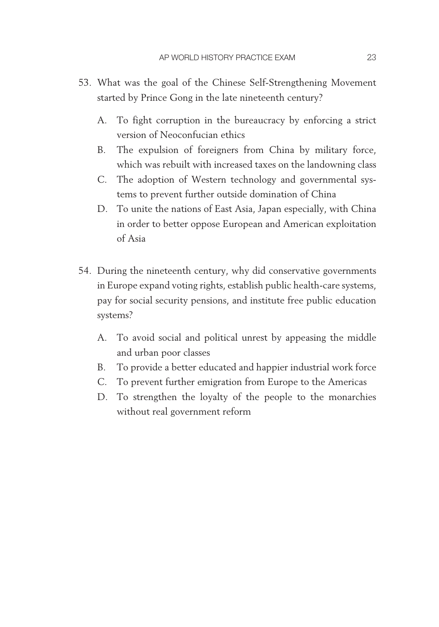- 53. What was the goal of the Chinese Self-Strengthening Movement started by Prince Gong in the late nineteenth century?
	- A. To fight corruption in the bureaucracy by enforcing a strict version of Neoconfucian ethics
	- B. The expulsion of foreigners from China by military force, which was rebuilt with increased taxes on the landowning class
	- C. The adoption of Western technology and governmental systems to prevent further outside domination of China
	- D. To unite the nations of East Asia, Japan especially, with China in order to better oppose European and American exploitation of Asia
- 54. During the nineteenth century, why did conservative governments in Europe expand voting rights, establish public health-care systems, pay for social security pensions, and institute free public education systems?
	- A. To avoid social and political unrest by appeasing the middle and urban poor classes
	- B. To provide a better educated and happier industrial work force
	- C. To prevent further emigration from Europe to the Americas
	- D. To strengthen the loyalty of the people to the monarchies without real government reform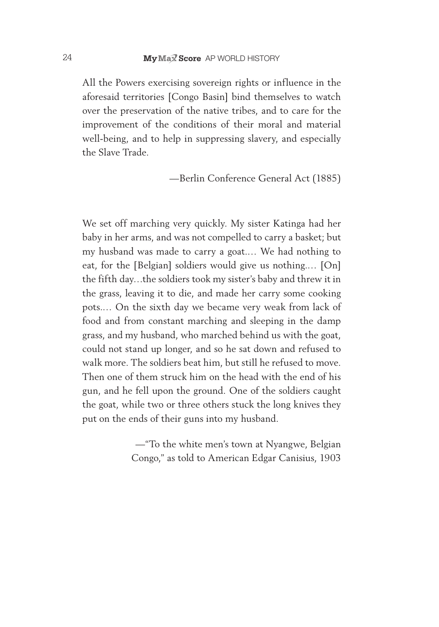All the Powers exercising sovereign rights or influence in the aforesaid territories [Congo Basin] bind themselves to watch over the preservation of the native tribes, and to care for the improvement of the conditions of their moral and material well-being, and to help in suppressing slavery, and especially the Slave Trade.

— Berlin Conference General Act (1885)

We set off marching very quickly. My sister Katinga had her baby in her arms, and was not compelled to carry a basket; but my husband was made to carry a goat.… We had nothing to eat, for the [Belgian] soldiers would give us nothing.… [On] the fifth day…the soldiers took my sister's baby and threw it in the grass, leaving it to die, and made her carry some cooking pots.… On the sixth day we became very weak from lack of food and from constant marching and sleeping in the damp grass, and my husband, who marched behind us with the goat, could not stand up longer, and so he sat down and refused to walk more. The soldiers beat him, but still he refused to move. Then one of them struck him on the head with the end of his gun, and he fell upon the ground. One of the soldiers caught the goat, while two or three others stuck the long knives they put on the ends of their guns into my husband.

> — "To the white men's town at Nyangwe, Belgian Congo," as told to American Edgar Canisius, 1903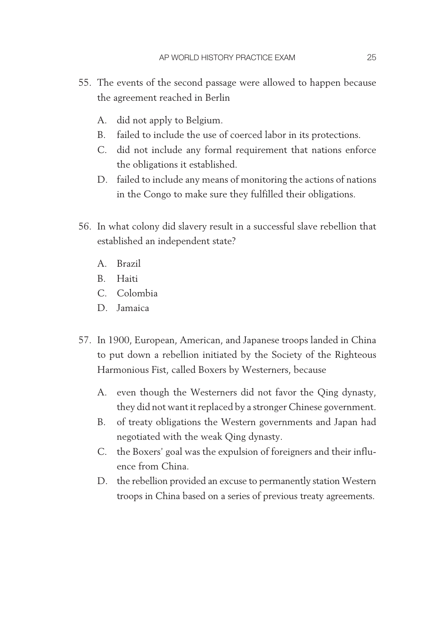- 55. The events of the second passage were allowed to happen because the agreement reached in Berlin
	- A. did not apply to Belgium.
	- B. failed to include the use of coerced labor in its protections.
	- C. did not include any formal requirement that nations enforce the obligations it established.
	- D. failed to include any means of monitoring the actions of nations in the Congo to make sure they fulfilled their obligations.
- 56. In what colony did slavery result in a successful slave rebellion that established an independent state?
	- A. Brazil
	- B. Haiti
	- C. Colombia
	- D. Jamaica
- 57. In 1900, European, American, and Japanese troops landed in China to put down a rebellion initiated by the Society of the Righteous Harmonious Fist, called Boxers by Westerners, because
	- A. even though the Westerners did not favor the Qing dynasty, they did not want it replaced by a stronger Chinese government.
	- B. of treaty obligations the Western governments and Japan had negotiated with the weak Qing dynasty.
	- C. the Boxers' goal was the expulsion of foreigners and their influence from China.
	- D. the rebellion provided an excuse to permanently station Western troops in China based on a series of previous treaty agreements.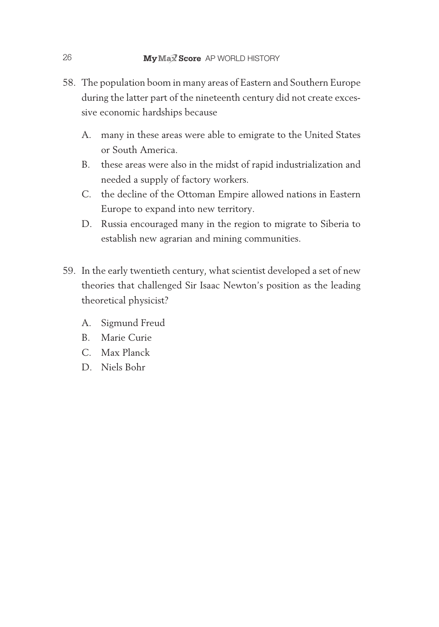- 58. The population boom in many areas of Eastern and Southern Europe during the latter part of the nineteenth century did not create excessive economic hardships because
	- A. many in these areas were able to emigrate to the United States or South America.
	- B. these areas were also in the midst of rapid industrialization and needed a supply of factory workers.
	- C. the decline of the Ottoman Empire allowed nations in Eastern Europe to expand into new territory.
	- D. Russia encouraged many in the region to migrate to Siberia to establish new agrarian and mining communities.
- 59. In the early twentieth century, what scientist developed a set of new theories that challenged Sir Isaac Newton's position as the leading theoretical physicist?
	- A. Sigmund Freud
	- B. Marie Curie
	- C. Max Planck
	- D. Niels Bohr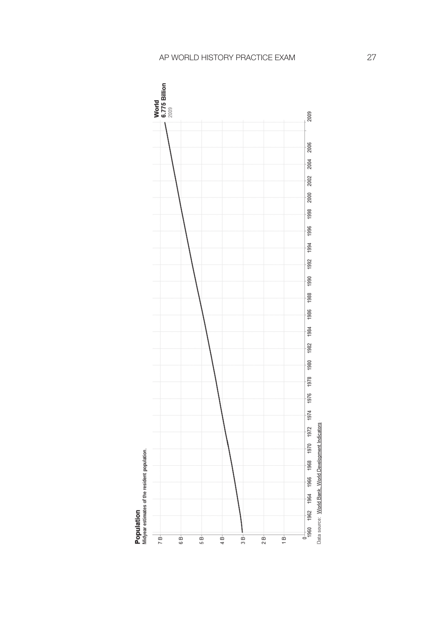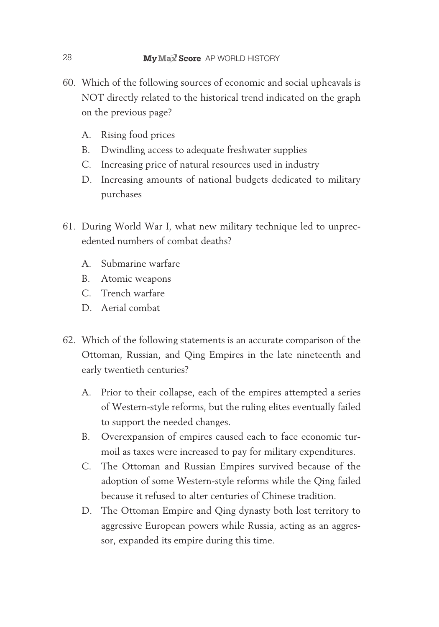- 60. Which of the following sources of economic and social upheavals is NOT directly related to the historical trend indicated on the graph on the previous page?
	- A. Rising food prices
	- B. Dwindling access to adequate freshwater supplies
	- C. Increasing price of natural resources used in industry
	- D. Increasing amounts of national budgets dedicated to military purchases
- 61. During World War I, what new military technique led to unprecedented numbers of combat deaths?
	- A. Submarine warfare
	- B. Atomic weapons
	- C. Trench warfare
	- D. Aerial combat
- 62. Which of the following statements is an accurate comparison of the Ottoman, Russian, and Qing Empires in the late nineteenth and early twentieth centuries?
	- A. Prior to their collapse, each of the empires attempted a series of Western-style reforms, but the ruling elites eventually failed to support the needed changes.
	- B. Overexpansion of empires caused each to face economic turmoil as taxes were increased to pay for military expenditures.
	- C. The Ottoman and Russian Empires survived because of the adoption of some Western-style reforms while the Qing failed because it refused to alter centuries of Chinese tradition.
	- D. The Ottoman Empire and Qing dynasty both lost territory to aggressive European powers while Russia, acting as an aggressor, expanded its empire during this time.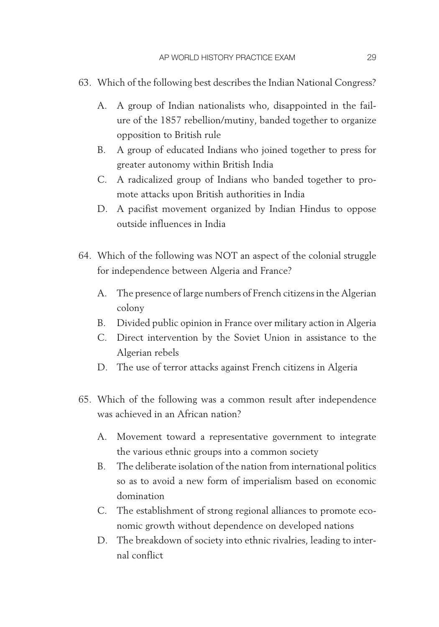- 63. Which of the following best describes the Indian National Congress?
	- A. A group of Indian nationalists who, disappointed in the failure of the 1857 rebellion/mutiny, banded together to organize opposition to British rule
	- B. A group of educated Indians who joined together to press for greater autonomy within British India
	- C. A radicalized group of Indians who banded together to promote attacks upon British authorities in India
	- D. A pacifist movement organized by Indian Hindus to oppose outside influences in India
- 64. Which of the following was NOT an aspect of the colonial struggle for independence between Algeria and France?
	- A. The presence of large numbers of French citizens in the Algerian colony
	- B. Divided public opinion in France over military action in Algeria
	- C. Direct intervention by the Soviet Union in assistance to the Algerian rebels
	- D. The use of terror attacks against French citizens in Algeria
- 65. Which of the following was a common result after independence was achieved in an African nation?
	- A. Movement toward a representative government to integrate the various ethnic groups into a common society
	- B. The deliberate isolation of the nation from international politics so as to avoid a new form of imperialism based on economic domination
	- C. The establishment of strong regional alliances to promote economic growth without dependence on developed nations
	- D. The breakdown of society into ethnic rivalries, leading to internal conflict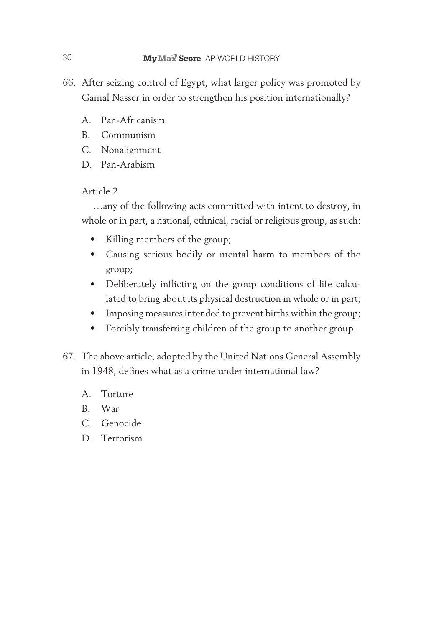- 66. After seizing control of Egypt, what larger policy was promoted by Gamal Nasser in order to strengthen his position internationally?
	- A. Pan- Africanism
	- B. Communism
	- C. Nonalignment
	- D. Pan-Arabism

#### Article 2

…any of the following acts committed with intent to destroy, in whole or in part, a national, ethnical, racial or religious group, as such:

- Killing members of the group;
- • Causing serious bodily or mental harm to members of the group;
- • Deliberately inflicting on the group conditions of life calculated to bring about its physical destruction in whole or in part;
- Imposing measures intended to prevent births within the group;
- • Forcibly transferring children of the group to another group.
- 67. The above article, adopted by the United Nations General Assembly in 1948, defines what as a crime under international law?
	- A. Torture
	- B. War
	- C. Genocide
	- D. Terrorism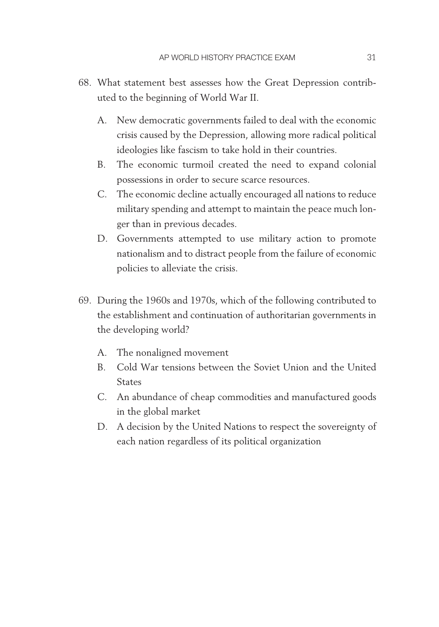- 68. What statement best assesses how the Great Depression contributed to the beginning of World War II.
	- A. New democratic governments failed to deal with the economic crisis caused by the Depression, allowing more radical political ideologies like fascism to take hold in their countries.
	- B. The economic turmoil created the need to expand colonial possessions in order to secure scarce resources.
	- C. The economic decline actually encouraged all nations to reduce military spending and attempt to maintain the peace much longer than in previous decades.
	- D. Governments attempted to use military action to promote nationalism and to distract people from the failure of economic policies to alleviate the crisis.
- 69. During the 1960s and 1970s, which of the following contributed to the establishment and continuation of authoritarian governments in the developing world?
	- A. The nonaligned movement
	- B. Cold War tensions between the Soviet Union and the United States
	- C. An abundance of cheap commodities and manufactured goods in the global market
	- D. A decision by the United Nations to respect the sovereignty of each nation regardless of its political organization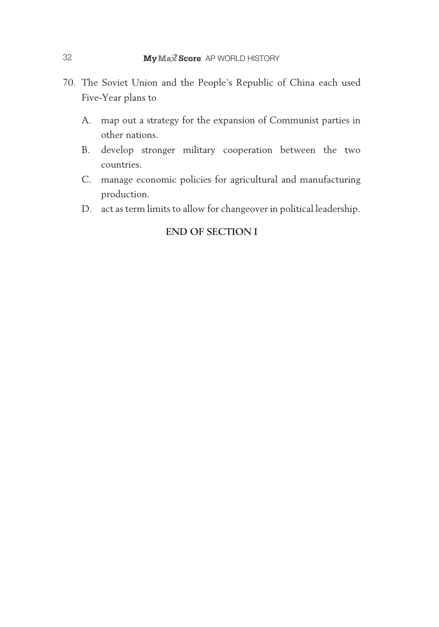- 70. The Soviet Union and the People's Republic of China each used Five-Year plans to
	- A. map out a strategy for the expansion of Communist parties in other nations.
	- B. develop stronger military cooperation between the two countries.
	- C. manage economic policies for agricultural and manufacturing production.
	- D. act as term limits to allow for changeover in political leadership.

#### **END OF SECTION I**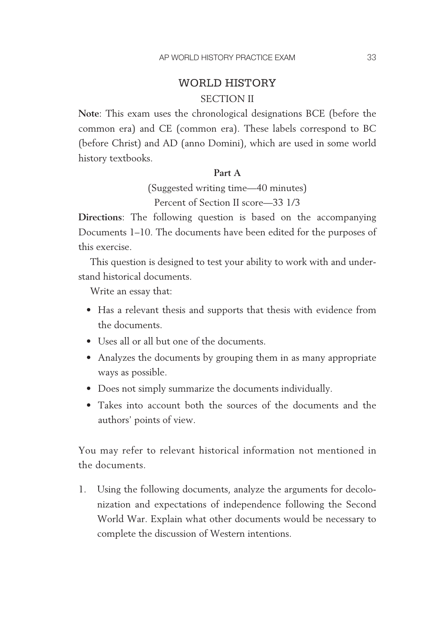## WORLD HISTORY SECTION II

**Note**: This exam uses the chronological designations BCE (before the common era) and CE (common era). These labels correspond to BC (before Christ) and AD (anno Domini), which are used in some world history textbooks.

#### **Part A**

(Suggested writing time— 40 minutes) Percent of Section II score— 33 1/3

**Directions**: The following question is based on the accompanying Documents 1–10. The documents have been edited for the purposes of this exercise.

This question is designed to test your ability to work with and understand historical documents.

Write an essay that:

- Has a relevant thesis and supports that thesis with evidence from the documents.
- • Uses all or all but one of the documents.
- Analyzes the documents by grouping them in as many appropriate ways as possible.
- Does not simply summarize the documents individually.
- Takes into account both the sources of the documents and the authors' points of view.

You may refer to relevant historical information not mentioned in the documents.

1. Using the following documents, analyze the arguments for decolonization and expectations of independence following the Second World War. Explain what other documents would be necessary to complete the discussion of Western intentions.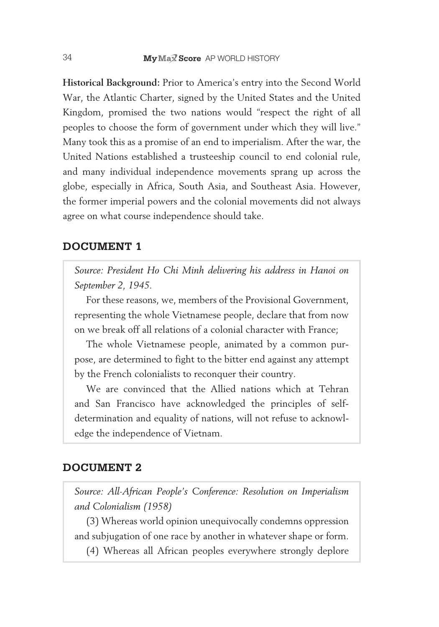**Historical Background:** Prior to America's entry into the Second World War, the Atlantic Charter, signed by the United States and the United Kingdom, promised the two nations would "respect the right of all peoples to choose the form of government under which they will live." Many took this as a promise of an end to imperialism. After the war, the United Nations established a trusteeship council to end colonial rule, and many individual independence movements sprang up across the globe, especially in Africa, South Asia, and Southeast Asia. However, the former imperial powers and the colonial movements did not always agree on what course independence should take.

#### **Document 1**

*Source: President Ho Chi Minh delivering his address in Hanoi on September 2, 1945.*

For these reasons, we, members of the Provisional Government, representing the whole Vietnamese people, declare that from now on we break off all relations of a colonial character with France;

The whole Vietnamese people, animated by a common purpose, are determined to fight to the bitter end against any attempt by the French colonialists to reconquer their country.

We are convinced that the Allied nations which at Tehran and San Francisco have acknowledged the principles of selfdetermination and equality of nations, will not refuse to acknowledge the independence of Vietnam.

#### **Document 2**

*Source: All-African People's Conference: Resolution on Imperialism and Colonialism (1958)*

(3) Whereas world opinion unequivocally condemns oppression and subjugation of one race by another in whatever shape or form.

(4) Whereas all African peoples everywhere strongly deplore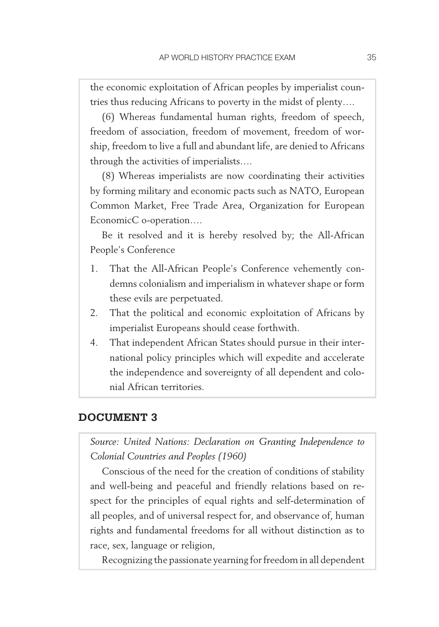the economic exploitation of African peoples by imperialist countries thus reducing Africans to poverty in the midst of plenty….

(6) Whereas fundamental human rights, freedom of speech, freedom of association, freedom of movement, freedom of worship, freedom to live a full and abundant life, are denied to Africans through the activities of imperialists….

(8) Whereas imperialists are now coordinating their activities by forming military and economic pacts such as NATO, European Common Market, Free Trade Area, Organization for European EconomicC o-operation....

Be it resolved and it is hereby resolved by; the All-African People's Conference

- 1. That the All-African People's Conference vehemently condemns colonialism and imperialism in whatever shape or form these evils are perpetuated.
- 2. That the political and economic exploitation of Africans by imperialist Europeans should cease forthwith.
- 4. That independent African States should pursue in their international policy principles which will expedite and accelerate the independence and sovereignty of all dependent and colonial African territories.

#### **Document 3**

*Source: United Nations: Declaration on Granting Independence to Colonial Countries and Peoples (1960)*

Conscious of the need for the creation of conditions of stability and well-being and peaceful and friendly relations based on respect for the principles of equal rights and self-determination of all peoples, and of universal respect for, and observance of, human rights and fundamental freedoms for all without distinction as to race, sex, language or religion,

Recognizing the passionate yearning for freedom in all dependent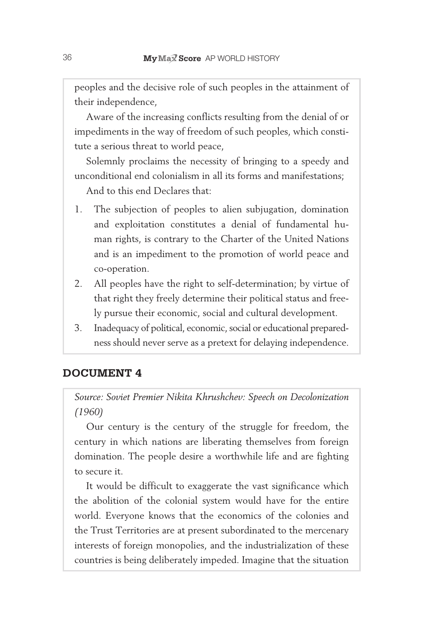peoples and the decisive role of such peoples in the attainment of their independence,

Aware of the increasing conflicts resulting from the denial of or impediments in the way of freedom of such peoples, which constitute a serious threat to world peace,

Solemnly proclaims the necessity of bringing to a speedy and unconditional end colonialism in all its forms and manifestations;

And to this end Declares that:

- 1. The subjection of peoples to alien subjugation, domination and exploitation constitutes a denial of fundamental human rights, is contrary to the Charter of the United Nations and is an impediment to the promotion of world peace and co- operation.
- 2. All peoples have the right to self-determination; by virtue of that right they freely determine their political status and freely pursue their economic, social and cultural development.
- 3. Inadequacy of political, economic, social or educational preparedness should never serve as a pretext for delaying independence.

#### **Document 4**

*Source: Soviet Premier Nikita Khrushchev: Speech on Decolonization (1960)*

Our century is the century of the struggle for freedom, the century in which nations are liberating themselves from foreign domination. The people desire a worthwhile life and are fighting to secure it.

It would be difficult to exaggerate the vast significance which the abolition of the colonial system would have for the entire world. Everyone knows that the economics of the colonies and the Trust Territories are at present subordinated to the mercenary interests of foreign monopolies, and the industrialization of these countries is being deliberately impeded. Imagine that the situation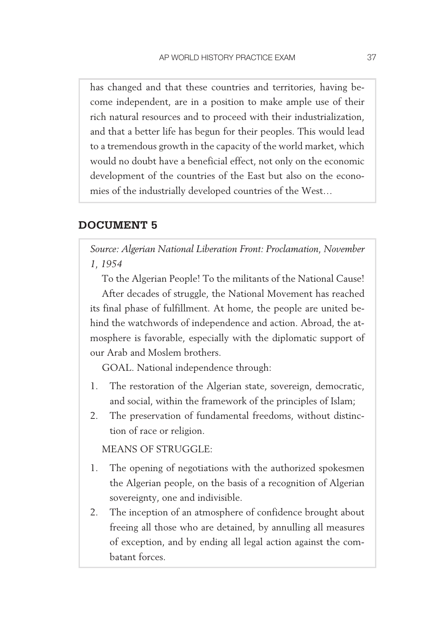has changed and that these countries and territories, having become independent, are in a position to make ample use of their rich natural resources and to proceed with their industrialization, and that a better life has begun for their peoples. This would lead to a tremendous growth in the capacity of the world market, which would no doubt have a beneficial effect, not only on the economic development of the countries of the East but also on the economies of the industrially developed countries of the West…

#### **Document 5**

*Source: Algerian National Liberation Front: Proclamation, November 1, 1954*

To the Algerian People! To the militants of the National Cause! After decades of struggle, the National Movement has reached its final phase of fulfillment. At home, the people are united behind the watchwords of independence and action. Abroad, the atmosphere is favorable, especially with the diplomatic support of our Arab and Moslem brothers.

GOAL. National independence through:

- 1. The restoration of the Algerian state, sovereign, democratic, and social, within the framework of the principles of Islam;
- 2. The preservation of fundamental freedoms, without distinction of race or religion.

MEANS OF STRUGGLE:

- 1. The opening of negotiations with the authorized spokesmen the Algerian people, on the basis of a recognition of Algerian sovereignty, one and indivisible.
- 2. The inception of an atmosphere of confidence brought about freeing all those who are detained, by annulling all measures of exception, and by ending all legal action against the combatant forces.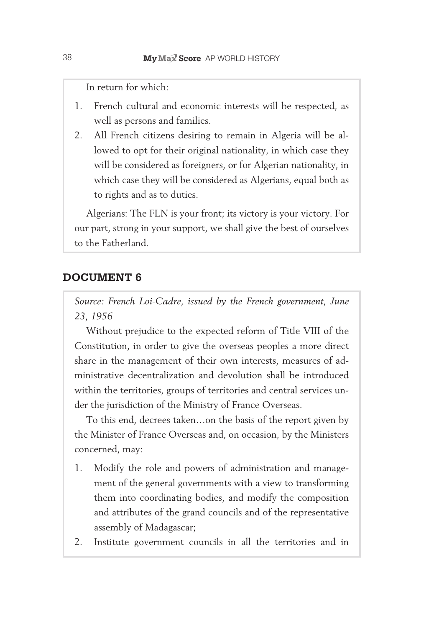In return for which:

- 1. French cultural and economic interests will be respected, as well as persons and families.
- 2. All French citizens desiring to remain in Algeria will be allowed to opt for their original nationality, in which case they will be considered as foreigners, or for Algerian nationality, in which case they will be considered as Algerians, equal both as to rights and as to duties.

Algerians: The FLN is your front; its victory is your victory. For our part, strong in your support, we shall give the best of ourselves to the Fatherland.

#### **Document 6**

*Source: French Loi-Cadre, issued by the French government, June 23, 1956*

Without prejudice to the expected reform of Title VIII of the Constitution, in order to give the overseas peoples a more direct share in the management of their own interests, measures of administrative decentralization and devolution shall be introduced within the territories, groups of territories and central services under the jurisdiction of the Ministry of France Overseas.

To this end, decrees taken…on the basis of the report given by the Minister of France Overseas and, on occasion, by the Ministers concerned, may:

- 1. Modify the role and powers of administration and management of the general governments with a view to transforming them into coordinating bodies, and modify the composition and attributes of the grand councils and of the representative assembly of Madagascar;
- 2. Institute government councils in all the territories and in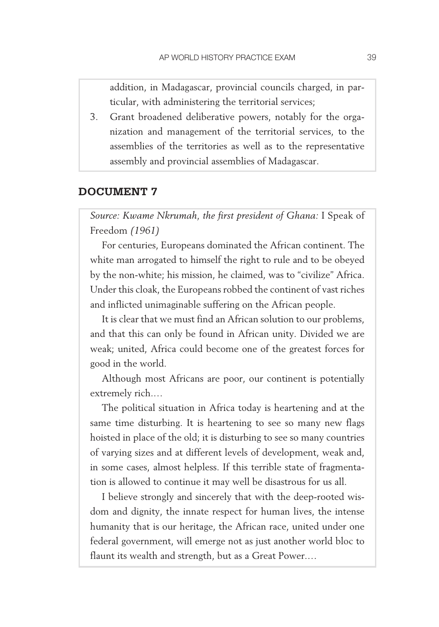addition, in Madagascar, provincial councils charged, in particular, with administering the territorial services;

3. Grant broadened deliberative powers, notably for the organization and management of the territorial services, to the assemblies of the territories as well as to the representative assembly and provincial assemblies of Madagascar.

#### **Document 7**

*Source: Kwame Nkrumah, the first president of Ghana:* I Speak of Freedom *(1961)* 

For centuries, Europeans dominated the African continent. The white man arrogated to himself the right to rule and to be obeyed by the non-white; his mission, he claimed, was to "civilize" Africa. Under this cloak, the Europeans robbed the continent of vast riches and inflicted unimaginable suffering on the African people.

It is clear that we must find an African solution to our problems, and that this can only be found in African unity. Divided we are weak; united, Africa could become one of the greatest forces for good in the world.

Although most Africans are poor, our continent is potentially extremely rich.…

The political situation in Africa today is heartening and at the same time disturbing. It is heartening to see so many new flags hoisted in place of the old; it is disturbing to see so many countries of varying sizes and at different levels of development, weak and, in some cases, almost helpless. If this terrible state of fragmentation is allowed to continue it may well be disastrous for us all.

I believe strongly and sincerely that with the deep-rooted wisdom and dignity, the innate respect for human lives, the intense humanity that is our heritage, the African race, united under one federal government, will emerge not as just another world bloc to flaunt its wealth and strength, but as a Great Power.…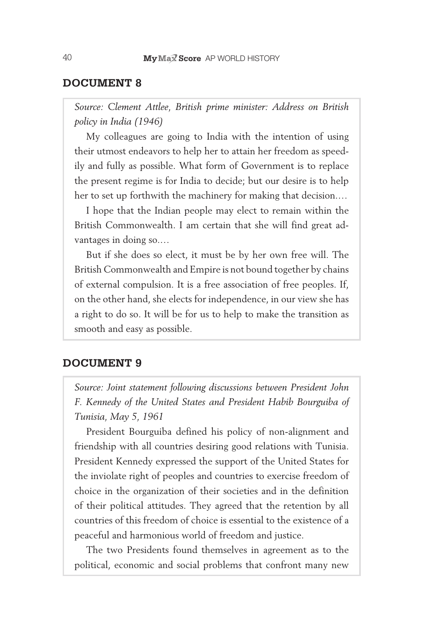#### **Document 8**

*Source: Clement Attlee, British prime minister: Address on British policy in India (1946)*

My colleagues are going to India with the intention of using their utmost endeavors to help her to attain her freedom as speedily and fully as possible. What form of Government is to replace the present regime is for India to decide; but our desire is to help her to set up forthwith the machinery for making that decision.…

I hope that the Indian people may elect to remain within the British Commonwealth. I am certain that she will find great advantages in doing so.…

But if she does so elect, it must be by her own free will. The British Commonwealth and Empire is not bound together by chains of external compulsion. It is a free association of free peoples. If, on the other hand, she elects for independence, in our view she has a right to do so. It will be for us to help to make the transition as smooth and easy as possible.

#### **Document 9**

*Source: Joint statement following discussions between President John F. Kennedy of the United States and President Habib Bourguiba of Tunisia, May 5, 1961*

President Bourguiba defined his policy of non-alignment and friendship with all countries desiring good relations with Tunisia. President Kennedy expressed the support of the United States for the inviolate right of peoples and countries to exercise freedom of choice in the organization of their societies and in the definition of their political attitudes. They agreed that the retention by all countries of this freedom of choice is essential to the existence of a peaceful and harmonious world of freedom and justice.

The two Presidents found themselves in agreement as to the political, economic and social problems that confront many new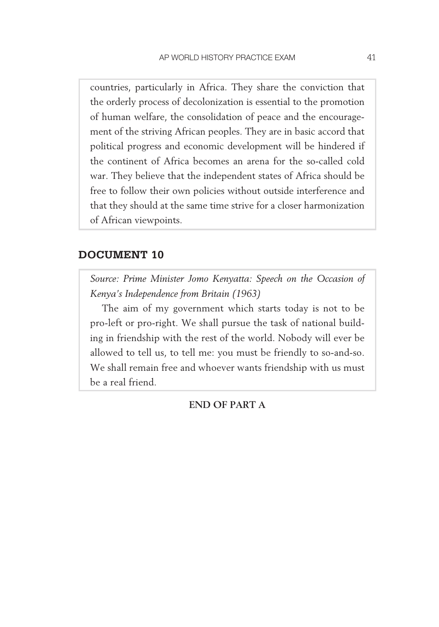countries, particularly in Africa. They share the conviction that the orderly process of decolonization is essential to the promotion of human welfare, the consolidation of peace and the encouragement of the striving African peoples. They are in basic accord that political progress and economic development will be hindered if the continent of Africa becomes an arena for the so-called cold war. They believe that the independent states of Africa should be free to follow their own policies without outside interference and that they should at the same time strive for a closer harmonization of African viewpoints.

#### **Document 10**

*Source: Prime Minister Jomo Kenyatta: Speech on the Occasion of Kenya's Independence from Britain (1963)*

The aim of my government which starts today is not to be pro-left or pro-right. We shall pursue the task of national building in friendship with the rest of the world. Nobody will ever be allowed to tell us, to tell me: you must be friendly to so-and-so. We shall remain free and whoever wants friendship with us must be a real friend.

**END OF PART A**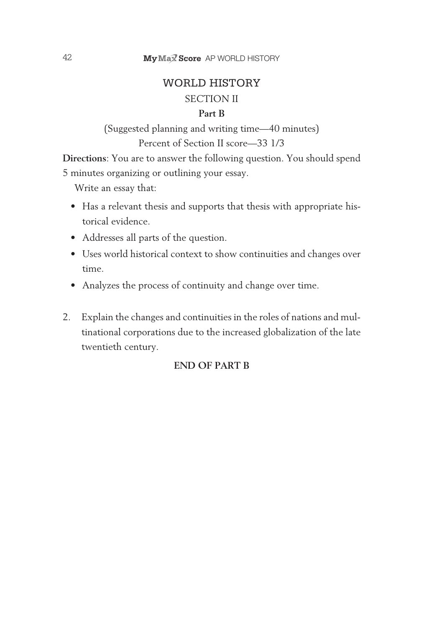## WORLD HISTORY SECTION II **Part B**

(Suggested planning and writing time— 40 minutes) Percent of Section II score-33 1/3

**Directions**: You are to answer the following question. You should spend 5 minutes organizing or outlining your essay.

Write an essay that:

- Has a relevant thesis and supports that thesis with appropriate historical evidence.
- • Addresses all parts of the question.
- Uses world historical context to show continuities and changes over time.
- Analyzes the process of continuity and change over time.
- 2. Explain the changes and continuities in the roles of nations and multinational corporations due to the increased globalization of the late twentieth century.

#### **END OF PART B**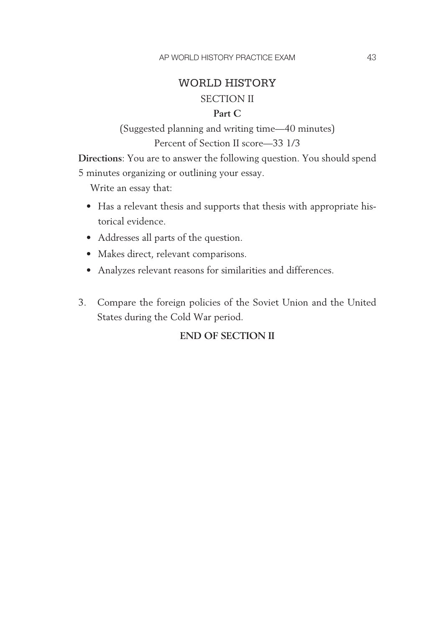## WORLD HISTORY SECTION II

#### **Part C**

(Suggested planning and writing time— 40 minutes) Percent of Section II score-33 1/3

**Directions**: You are to answer the following question. You should spend 5 minutes organizing or outlining your essay.

Write an essay that:

- Has a relevant thesis and supports that thesis with appropriate historical evidence.
- • Addresses all parts of the question.
- Makes direct, relevant comparisons.
- • Analyzes relevant reasons for similarities and differences.
- 3. Compare the foreign policies of the Soviet Union and the United States during the Cold War period.

#### **END OF SECTION II**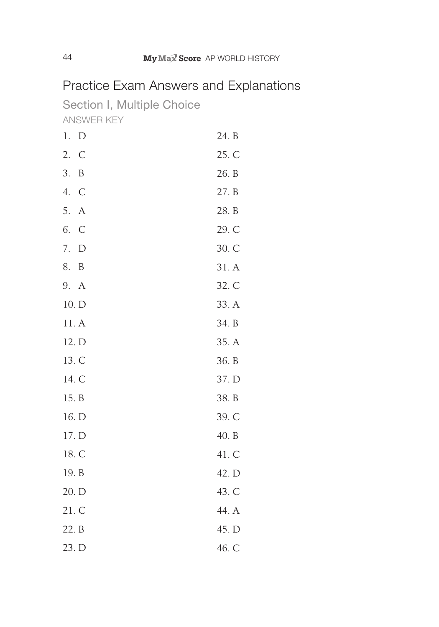## Practice Exam Answers and Explanations

Section I, Multiple Choice AnSWer Key

| 1.<br>$\mathbf D$      | 24. B |
|------------------------|-------|
| 2.<br>$\mathcal{C}$    | 25. C |
| 3.<br>B                | 26. B |
| 4.<br>$\mathcal{C}$    | 27. B |
| 5.<br>$\boldsymbol{A}$ | 28. B |
| 6.<br>$\mathcal{C}$    | 29. C |
| 7.<br>$\mathbf D$      | 30. C |
| 8.<br>$\boldsymbol{B}$ | 31.A  |
| 9. A                   | 32. C |
| 10. D                  | 33. A |
| 11. A                  | 34. B |
| 12. D                  | 35. A |
| 13. C                  | 36. B |
| 14. C                  | 37. D |
| 15. B                  | 38. B |
| 16. D                  | 39. C |
| 17. D                  | 40. B |
| 18. C                  | 41. C |
| 19. B                  | 42. D |
| 20. D                  | 43. C |
| 21. C                  | 44. A |
| 22. B                  | 45. D |
| 23. D                  | 46. C |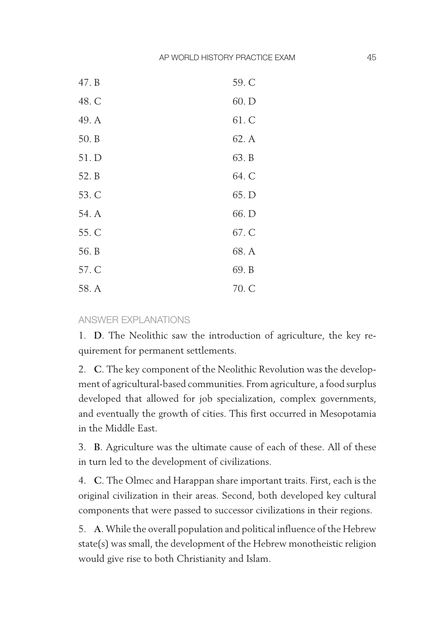| 47. B | 59. C |
|-------|-------|
| 48. C | 60. D |
| 49. A | 61. C |
| 50. B | 62. A |
| 51. D | 63. B |
| 52. B | 64. C |
| 53. C | 65. D |
| 54. A | 66. D |
| 55. C | 67. C |
| 56. B | 68. A |
| 57. C | 69. B |
| 58. A | 70. C |

#### AnSWer eXPlAnAtIonS

1. **D**. The Neolithic saw the introduction of agriculture, the key requirement for permanent settlements.

2. **C**. The key component of the Neolithic Revolution was the development of agricultural-based communities. From agriculture, a food surplus developed that allowed for job specialization, complex governments, and eventually the growth of cities. This first occurred in Mesopotamia in the Middle East.

3. **B**. Agriculture was the ultimate cause of each of these. All of these in turn led to the development of civilizations.

4. **C**. The Olmec and Harappan share important traits. First, each is the original civilization in their areas. Second, both developed key cultural components that were passed to successor civilizations in their regions.

5. **A**. While the overall population and political influence of the Hebrew state(s) was small, the development of the Hebrew monotheistic religion would give rise to both Christianity and Islam.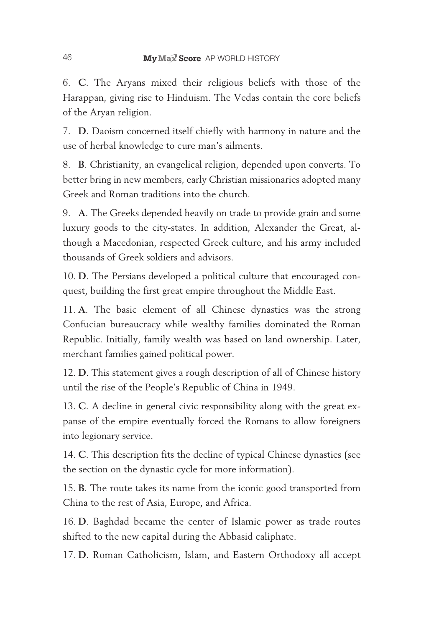6. **C**. The Aryans mixed their religious beliefs with those of the Harappan, giving rise to Hinduism. The Vedas contain the core beliefs of the Aryan religion.

7. **D**. Daoism concerned itself chiefly with harmony in nature and the use of herbal knowledge to cure man's ailments.

8. **B**. Christianity, an evangelical religion, depended upon converts. To better bring in new members, early Christian missionaries adopted many Greek and Roman traditions into the church.

9. **A**. The Greeks depended heavily on trade to provide grain and some luxury goods to the city-states. In addition, Alexander the Great, although a Macedonian, respected Greek culture, and his army included thousands of Greek soldiers and advisors.

10. **D**. The Persians developed a political culture that encouraged conquest, building the first great empire throughout the Middle East.

11. **A**. The basic element of all Chinese dynasties was the strong Confucian bureaucracy while wealthy families dominated the Roman Republic. Initially, family wealth was based on land ownership. Later, merchant families gained political power.

12. **D**. This statement gives a rough description of all of Chinese history until the rise of the People's Republic of China in 1949.

13. **C**. A decline in general civic responsibility along with the great expanse of the empire eventually forced the Romans to allow foreigners into legionary service.

14. **C**. This description fits the decline of typical Chinese dynasties (see the section on the dynastic cycle for more information).

15. **B**. The route takes its name from the iconic good transported from China to the rest of Asia, Europe, and Africa.

16. **D**. Baghdad became the center of Islamic power as trade routes shifted to the new capital during the Abbasid caliphate.

17. **D**. Roman Catholicism, Islam, and Eastern Orthodoxy all accept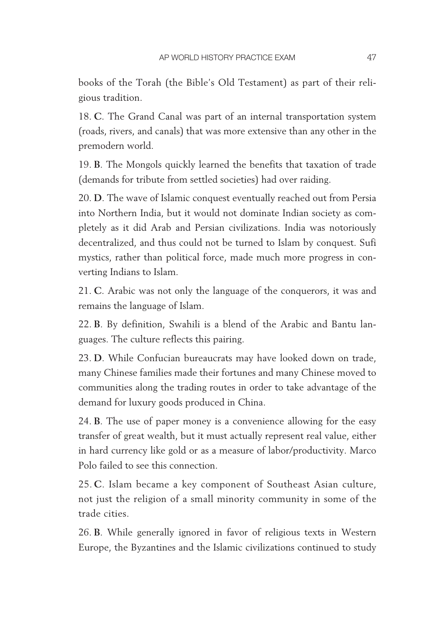books of the Torah (the Bible's Old Testament) as part of their religious tradition.

18. **C**. The Grand Canal was part of an internal transportation system (roads, rivers, and canals) that was more extensive than any other in the premodern world.

19. **B**. The Mongols quickly learned the benefits that taxation of trade (demands for tribute from settled societies) had over raiding.

20. **D**. The wave of Islamic conquest eventually reached out from Persia into Northern India, but it would not dominate Indian society as completely as it did Arab and Persian civilizations. India was notoriously decentralized, and thus could not be turned to Islam by conquest. Sufi mystics, rather than political force, made much more progress in converting Indians to Islam.

21. **C**. Arabic was not only the language of the conquerors, it was and remains the language of Islam.

22. **B**. By definition, Swahili is a blend of the Arabic and Bantu languages. The culture reflects this pairing.

23. **D**. While Confucian bureaucrats may have looked down on trade, many Chinese families made their fortunes and many Chinese moved to communities along the trading routes in order to take advantage of the demand for luxury goods produced in China.

24. **B**. The use of paper money is a convenience allowing for the easy transfer of great wealth, but it must actually represent real value, either in hard currency like gold or as a measure of labor/productivity. Marco Polo failed to see this connection.

25. **C**. Islam became a key component of Southeast Asian culture, not just the religion of a small minority community in some of the trade cities.

26. **B**. While generally ignored in favor of religious texts in Western Europe, the Byzantines and the Islamic civilizations continued to study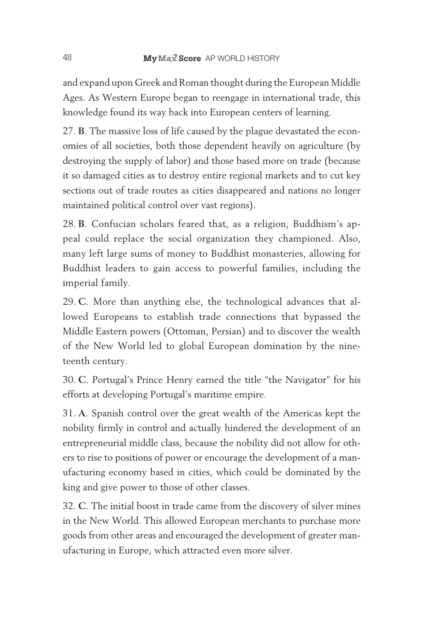and expand upon Greek and Roman thought during the European Middle Ages. As Western Europe began to reengage in international trade, this knowledge found its way back into European centers of learning.

27. **B**. The massive loss of life caused by the plague devastated the economies of all societies, both those dependent heavily on agriculture (by destroying the supply of labor) and those based more on trade (because it so damaged cities as to destroy entire regional markets and to cut key sections out of trade routes as cities disappeared and nations no longer maintained political control over vast regions).

28. **B**. Confucian scholars feared that, as a religion, Buddhism's appeal could replace the social organization they championed. Also, many left large sums of money to Buddhist monasteries, allowing for Buddhist leaders to gain access to powerful families, including the imperial family.

29. **C**. More than anything else, the technological advances that allowed Europeans to establish trade connections that bypassed the Middle Eastern powers (Ottoman, Persian) and to discover the wealth of the New World led to global European domination by the nineteenth century.

30. **C**. Portugal's Prince Henry earned the title "the Navigator" for his efforts at developing Portugal's maritime empire.

31. **A**. Spanish control over the great wealth of the Americas kept the nobility firmly in control and actually hindered the development of an entrepreneurial middle class, because the nobility did not allow for others to rise to positions of power or encourage the development of a manufacturing economy based in cities, which could be dominated by the king and give power to those of other classes.

32. **C**. The initial boost in trade came from the discovery of silver mines in the New World. This allowed European merchants to purchase more goods from other areas and encouraged the development of greater manufacturing in Europe, which attracted even more silver.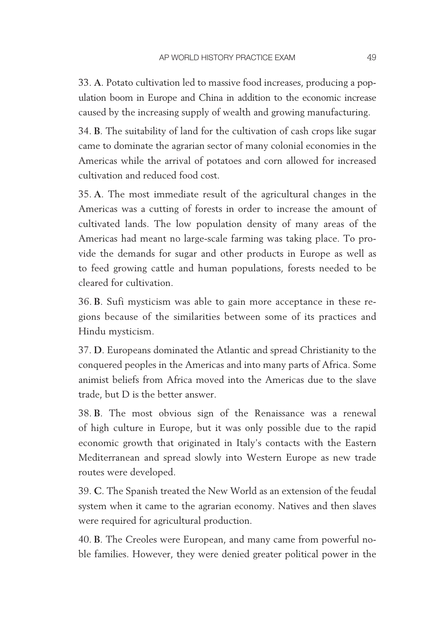33. **A**. Potato cultivation led to massive food increases, producing a population boom in Europe and China in addition to the economic increase caused by the increasing supply of wealth and growing manufacturing.

34. **B**. The suitability of land for the cultivation of cash crops like sugar came to dominate the agrarian sector of many colonial economies in the Americas while the arrival of potatoes and corn allowed for increased cultivation and reduced food cost.

35. **A**. The most immediate result of the agricultural changes in the Americas was a cutting of forests in order to increase the amount of cultivated lands. The low population density of many areas of the Americas had meant no large-scale farming was taking place. To provide the demands for sugar and other products in Europe as well as to feed growing cattle and human populations, forests needed to be cleared for cultivation.

36. **B**. Sufi mysticism was able to gain more acceptance in these regions because of the similarities between some of its practices and Hindu mysticism.

37. **D**. Europeans dominated the Atlantic and spread Christianity to the conquered peoples in the Americas and into many parts of Africa. Some animist beliefs from Africa moved into the Americas due to the slave trade, but D is the better answer.

38. **B**. The most obvious sign of the Renaissance was a renewal of high culture in Europe, but it was only possible due to the rapid economic growth that originated in Italy's contacts with the Eastern Mediterranean and spread slowly into Western Europe as new trade routes were developed.

39. **C**. The Spanish treated the New World as an extension of the feudal system when it came to the agrarian economy. Natives and then slaves were required for agricultural production.

40. **B**. The Creoles were European, and many came from powerful noble families. However, they were denied greater political power in the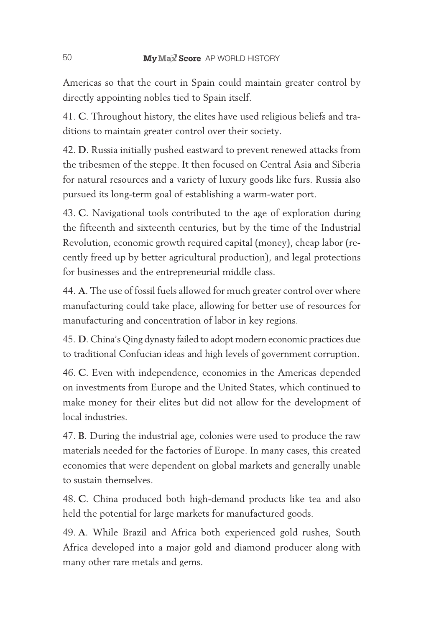Americas so that the court in Spain could maintain greater control by directly appointing nobles tied to Spain itself.

41. **C**. Throughout history, the elites have used religious beliefs and traditions to maintain greater control over their society.

42. **D**. Russia initially pushed eastward to prevent renewed attacks from the tribesmen of the steppe. It then focused on Central Asia and Siberia for natural resources and a variety of luxury goods like furs. Russia also pursued its long- term goal of establishing a warm- water port.

43. **C**. Navigational tools contributed to the age of exploration during the fifteenth and sixteenth centuries, but by the time of the Industrial Revolution, economic growth required capital (money), cheap labor (recently freed up by better agricultural production), and legal protections for businesses and the entrepreneurial middle class.

44. **A**. The use of fossil fuels allowed for much greater control over where manufacturing could take place, allowing for better use of resources for manufacturing and concentration of labor in key regions.

45. **D**. China's Qing dynasty failed to adopt modern economic practices due to traditional Confucian ideas and high levels of government corruption.

46. **C**. Even with independence, economies in the Americas depended on investments from Europe and the United States, which continued to make money for their elites but did not allow for the development of local industries.

47. **B**. During the industrial age, colonies were used to produce the raw materials needed for the factories of Europe. In many cases, this created economies that were dependent on global markets and generally unable to sustain themselves.

48. **C**. China produced both high-demand products like tea and also held the potential for large markets for manufactured goods.

49. **A**. While Brazil and Africa both experienced gold rushes, South Africa developed into a major gold and diamond producer along with many other rare metals and gems.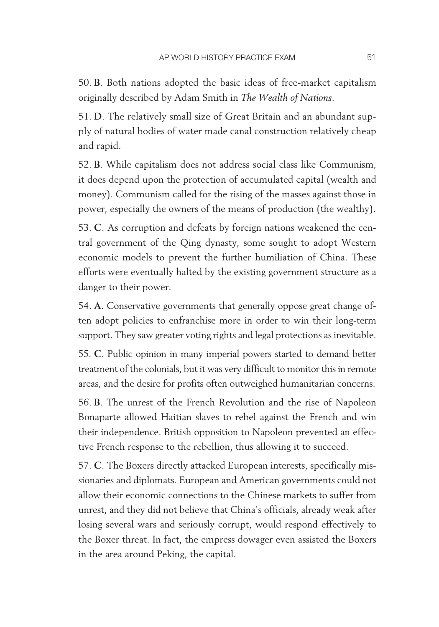50. **B**. Both nations adopted the basic ideas of free-market capitalism originally described by Adam Smith in *The Wealth of Nations*.

51. **D**. The relatively small size of Great Britain and an abundant supply of natural bodies of water made canal construction relatively cheap and rapid.

52. **B**. While capitalism does not address social class like Communism, it does depend upon the protection of accumulated capital (wealth and money). Communism called for the rising of the masses against those in power, especially the owners of the means of production (the wealthy).

53. **C**. As corruption and defeats by foreign nations weakened the central government of the Qing dynasty, some sought to adopt Western economic models to prevent the further humiliation of China. These efforts were eventually halted by the existing government structure as a danger to their power.

54. **A**. Conservative governments that generally oppose great change often adopt policies to enfranchise more in order to win their long-term support. They saw greater voting rights and legal protections as inevitable.

55. **C**. Public opinion in many imperial powers started to demand better treatment of the colonials, but it was very difficult to monitor this in remote areas, and the desire for profits often outweighed humanitarian concerns.

56. **B**. The unrest of the French Revolution and the rise of Napoleon Bonaparte allowed Haitian slaves to rebel against the French and win their independence. British opposition to Napoleon prevented an effective French response to the rebellion, thus allowing it to succeed.

57. **C**. The Boxers directly attacked European interests, specifically missionaries and diplomats. European and American governments could not allow their economic connections to the Chinese markets to suffer from unrest, and they did not believe that China's officials, already weak after losing several wars and seriously corrupt, would respond effectively to the Boxer threat. In fact, the empress dowager even assisted the Boxers in the area around Peking, the capital.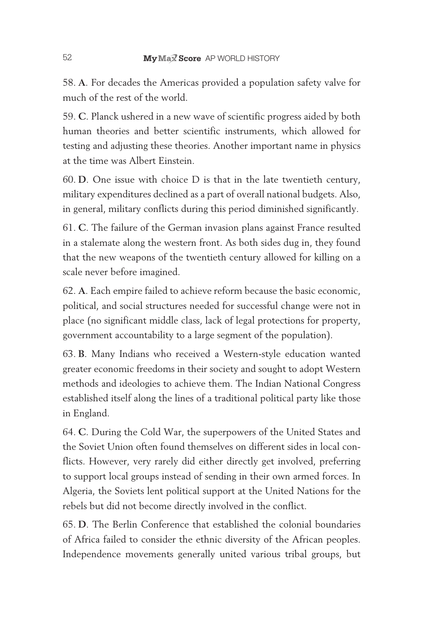58. **A**. For decades the Americas provided a population safety valve for much of the rest of the world.

59. **C**. Planck ushered in a new wave of scientific progress aided by both human theories and better scientific instruments, which allowed for testing and adjusting these theories. Another important name in physics at the time was Albert Einstein.

60. **D**. One issue with choice D is that in the late twentieth century, military expenditures declined as a part of overall national budgets. Also, in general, military conflicts during this period diminished significantly.

61. **C**. The failure of the German invasion plans against France resulted in a stalemate along the western front. As both sides dug in, they found that the new weapons of the twentieth century allowed for killing on a scale never before imagined.

62. **A**. Each empire failed to achieve reform because the basic economic, political, and social structures needed for successful change were not in place (no significant middle class, lack of legal protections for property, government accountability to a large segment of the population).

63. **B**. Many Indians who received a Western-style education wanted greater economic freedoms in their society and sought to adopt Western methods and ideologies to achieve them. The Indian National Congress established itself along the lines of a traditional political party like those in England.

64. **C**. During the Cold War, the superpowers of the United States and the Soviet Union often found themselves on different sides in local conflicts. However, very rarely did either directly get involved, preferring to support local groups instead of sending in their own armed forces. In Algeria, the Soviets lent political support at the United Nations for the rebels but did not become directly involved in the conflict.

65. **D**. The Berlin Conference that established the colonial boundaries of Africa failed to consider the ethnic diversity of the African peoples. Independence movements generally united various tribal groups, but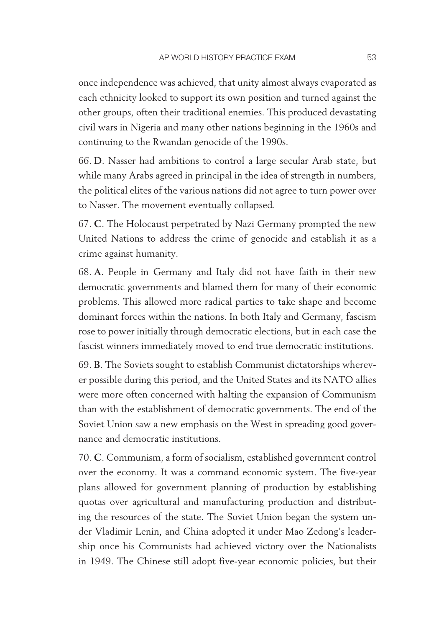once independence was achieved, that unity almost always evaporated as each ethnicity looked to support its own position and turned against the other groups, often their traditional enemies. This produced devastating civil wars in Nigeria and many other nations beginning in the 1960s and continuing to the Rwandan genocide of the 1990s.

66. **D**. Nasser had ambitions to control a large secular Arab state, but while many Arabs agreed in principal in the idea of strength in numbers, the political elites of the various nations did not agree to turn power over to Nasser. The movement eventually collapsed.

67. **C**. The Holocaust perpetrated by Nazi Germany prompted the new United Nations to address the crime of genocide and establish it as a crime against humanity.

68. **A**. People in Germany and Italy did not have faith in their new democratic governments and blamed them for many of their economic problems. This allowed more radical parties to take shape and become dominant forces within the nations. In both Italy and Germany, fascism rose to power initially through democratic elections, but in each case the fascist winners immediately moved to end true democratic institutions.

69. **B**. The Soviets sought to establish Communist dictatorships wherever possible during this period, and the United States and its NATO allies were more often concerned with halting the expansion of Communism than with the establishment of democratic governments. The end of the Soviet Union saw a new emphasis on the West in spreading good governance and democratic institutions.

70. **C**. Communism, a form of socialism, established government control over the economy. It was a command economic system. The five- year plans allowed for government planning of production by establishing quotas over agricultural and manufacturing production and distributing the resources of the state. The Soviet Union began the system under Vladimir Lenin, and China adopted it under Mao Zedong's leadership once his Communists had achieved victory over the Nationalists in 1949. The Chinese still adopt five-year economic policies, but their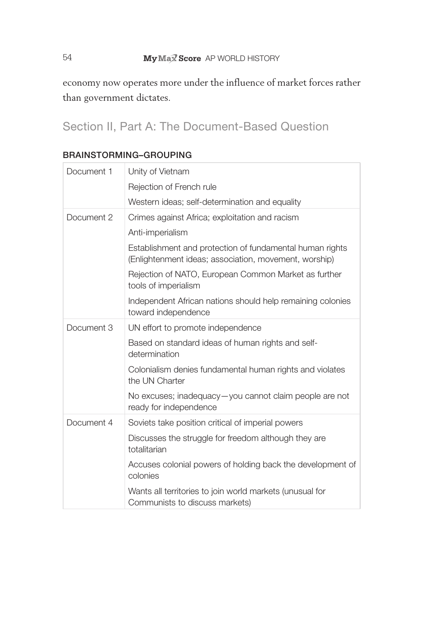#### 54 **My Max Score** AP WORLD HISTORY

economy now operates more under the influence of market forces rather than government dictates.

Section II, Part A: The Document-Based Question

| Document 1 | Unity of Vietnam                                                                                                  |
|------------|-------------------------------------------------------------------------------------------------------------------|
|            | Rejection of French rule                                                                                          |
|            | Western ideas; self-determination and equality                                                                    |
| Document 2 | Crimes against Africa; exploitation and racism                                                                    |
|            | Anti-imperialism                                                                                                  |
|            | Establishment and protection of fundamental human rights<br>(Enlightenment ideas; association, movement, worship) |
|            | Rejection of NATO, European Common Market as further<br>tools of imperialism                                      |
|            | Independent African nations should help remaining colonies<br>toward independence                                 |
| Document 3 | UN effort to promote independence                                                                                 |
|            | Based on standard ideas of human rights and self-<br>determination                                                |
|            | Colonialism denies fundamental human rights and violates<br>the UN Charter                                        |
|            | No excuses; inadequacy-you cannot claim people are not<br>ready for independence                                  |
| Document 4 | Soviets take position critical of imperial powers                                                                 |
|            | Discusses the struggle for freedom although they are<br>totalitarian                                              |
|            | Accuses colonial powers of holding back the development of<br>colonies                                            |
|            | Wants all territories to join world markets (unusual for<br>Communists to discuss markets)                        |

#### Brainstorming–grouping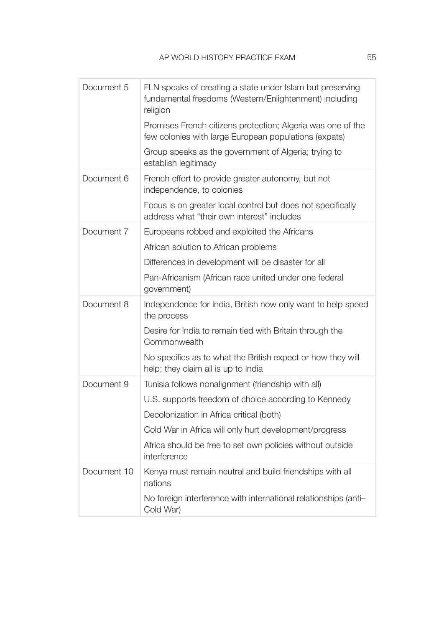| Document 5  | FLN speaks of creating a state under Islam but preserving<br>fundamental freedoms (Western/Enlightenment) including<br>religion |
|-------------|---------------------------------------------------------------------------------------------------------------------------------|
|             | Promises French citizens protection; Algeria was one of the<br>few colonies with large European populations (expats)            |
|             | Group speaks as the government of Algeria; trying to<br>establish legitimacy                                                    |
| Document 6  | French effort to provide greater autonomy, but not<br>independence, to colonies                                                 |
|             | Focus is on greater local control but does not specifically<br>address what "their own interest" includes                       |
| Document 7  | Europeans robbed and exploited the Africans                                                                                     |
|             | African solution to African problems                                                                                            |
|             | Differences in development will be disaster for all                                                                             |
|             | Pan-Africanism (African race united under one federal<br>government)                                                            |
| Document 8  | Independence for India, British now only want to help speed<br>the process                                                      |
|             | Desire for India to remain tied with Britain through the<br>Commonwealth                                                        |
|             | No specifics as to what the British expect or how they will<br>help; they claim all is up to India                              |
| Document 9  | Tunisia follows nonalignment (friendship with all)                                                                              |
|             | U.S. supports freedom of choice according to Kennedy                                                                            |
|             | Decolonization in Africa critical (both)                                                                                        |
|             | Cold War in Africa will only hurt development/progress                                                                          |
|             | Africa should be free to set own policies without outside<br>interference                                                       |
| Document 10 | Kenya must remain neutral and build friendships with all<br>nations                                                             |
|             | No foreign interference with international relationships (anti-<br>Cold War)                                                    |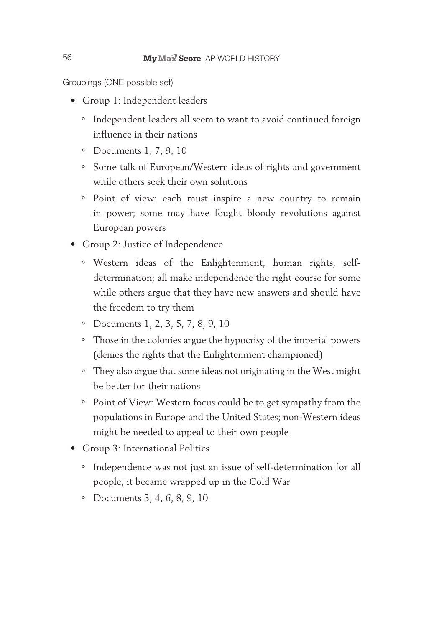Groupings (one possible set)

- Group 1: Independent leaders
	- ° Independent leaders all seem to want to avoid continued foreign influence in their nations
	- ° Documents 1, 7, 9, 10
	- ° Some talk of European/Western ideas of rights and government while others seek their own solutions
	- ° Point of view: each must inspire a new country to remain in power; some may have fought bloody revolutions against European powers
- Group 2: Justice of Independence
	- ° Western ideas of the Enlightenment, human rights, selfdetermination; all make independence the right course for some while others argue that they have new answers and should have the freedom to try them
	- ° Documents 1, 2, 3, 5, 7, 8, 9, 10
	- ° Those in the colonies argue the hypocrisy of the imperial powers (denies the rights that the Enlightenment championed)
	- ° They also argue that some ideas not originating in the West might be better for their nations
	- ° Point of View: Western focus could be to get sympathy from the populations in Europe and the United States; non-Western ideas might be needed to appeal to their own people
- Group 3: International Politics
	- ° Independence was not just an issue of self-determination for all people, it became wrapped up in the Cold War
	- ° Documents 3, 4, 6, 8, 9, 10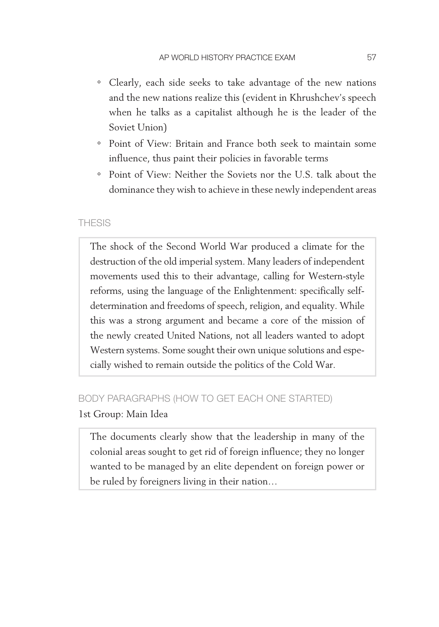- ° Clearly, each side seeks to take advantage of the new nations and the new nations realize this (evident in Khrushchev's speech when he talks as a capitalist although he is the leader of the Soviet Union)
- ° Point of View: Britain and France both seek to maintain some influence, thus paint their policies in favorable terms
- ° Point of View: Neither the Soviets nor the U.S. talk about the dominance they wish to achieve in these newly independent areas

#### **THESIS**

The shock of the Second World War produced a climate for the destruction of the old imperial system. Many leaders of independent movements used this to their advantage, calling for Western-style reforms, using the language of the Enlightenment: specifically selfdetermination and freedoms of speech, religion, and equality. While this was a strong argument and became a core of the mission of the newly created United Nations, not all leaders wanted to adopt Western systems. Some sought their own unique solutions and especially wished to remain outside the politics of the Cold War.

#### body PArAGrAPHS (HoW to Get eACH one StArted)

#### 1st Group: Main Idea

The documents clearly show that the leadership in many of the colonial areas sought to get rid of foreign influence; they no longer wanted to be managed by an elite dependent on foreign power or be ruled by foreigners living in their nation…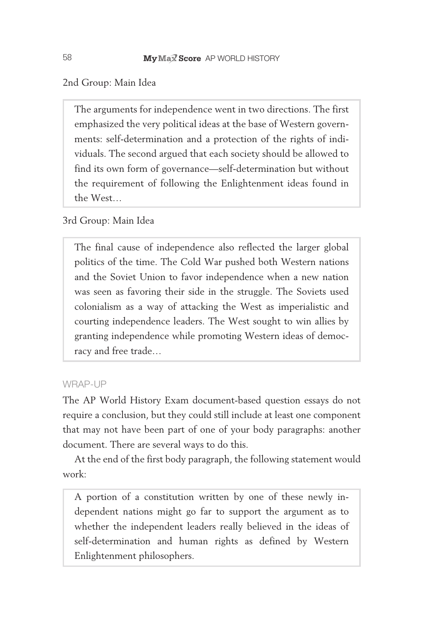2nd Group: Main Idea

The arguments for independence went in two directions. The first emphasized the very political ideas at the base of Western governments: self-determination and a protection of the rights of individuals. The second argued that each society should be allowed to find its own form of governance—self-determination but without the requirement of following the Enlightenment ideas found in the West…

#### 3rd Group: Main Idea

The final cause of independence also reflected the larger global politics of the time. The Cold War pushed both Western nations and the Soviet Union to favor independence when a new nation was seen as favoring their side in the struggle. The Soviets used colonialism as a way of attacking the West as imperialistic and courting independence leaders. The West sought to win allies by granting independence while promoting Western ideas of democracy and free trade…

#### WRAP-UP

The AP World History Exam document-based question essays do not require a conclusion, but they could still include at least one component that may not have been part of one of your body paragraphs: another document. There are several ways to do this.

At the end of the first body paragraph, the following statement would work:

A portion of a constitution written by one of these newly independent nations might go far to support the argument as to whether the independent leaders really believed in the ideas of self- determination and human rights as defined by Western Enlightenment philosophers.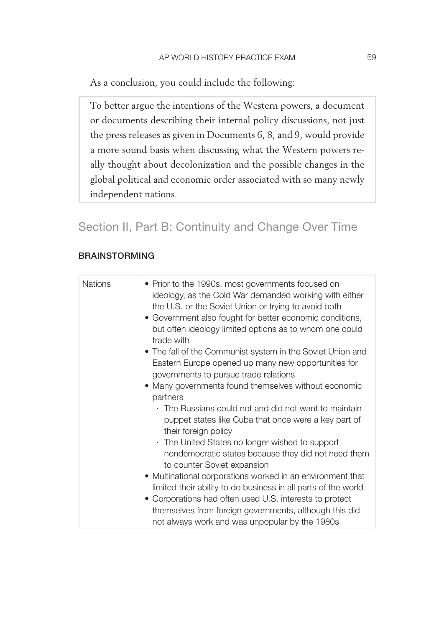As a conclusion, you could include the following:

To better argue the intentions of the Western powers, a document or documents describing their internal policy discussions, not just the press releases as given in Documents 6, 8, and 9, would provide a more sound basis when discussing what the Western powers really thought about decolonization and the possible changes in the global political and economic order associated with so many newly independent nations.

### Section II, Part B: Continuity and Change Over Time

#### **BRAINSTORMING**

| <b>Nations</b> | • Prior to the 1990s, most governments focused on<br>ideology, as the Cold War demanded working with either<br>the U.S. or the Soviet Union or trying to avoid both<br>• Government also fought for better economic conditions,<br>but often ideology limited options as to whom one could<br>trade with |
|----------------|----------------------------------------------------------------------------------------------------------------------------------------------------------------------------------------------------------------------------------------------------------------------------------------------------------|
|                | • The fall of the Communist system in the Soviet Union and<br>Eastern Europe opened up many new opportunities for<br>governments to pursue trade relations                                                                                                                                               |
|                | • Many governments found themselves without economic<br>partners                                                                                                                                                                                                                                         |
|                | The Russians could not and did not want to maintain<br>puppet states like Cuba that once were a key part of<br>their foreign policy                                                                                                                                                                      |
|                | . The United States no longer wished to support<br>nondemocratic states because they did not need them                                                                                                                                                                                                   |
|                | to counter Soviet expansion                                                                                                                                                                                                                                                                              |
|                | • Multinational corporations worked in an environment that<br>limited their ability to do business in all parts of the world<br>• Corporations had often used U.S. interests to protect                                                                                                                  |
|                | themselves from foreign governments, although this did<br>not always work and was unpopular by the 1980s                                                                                                                                                                                                 |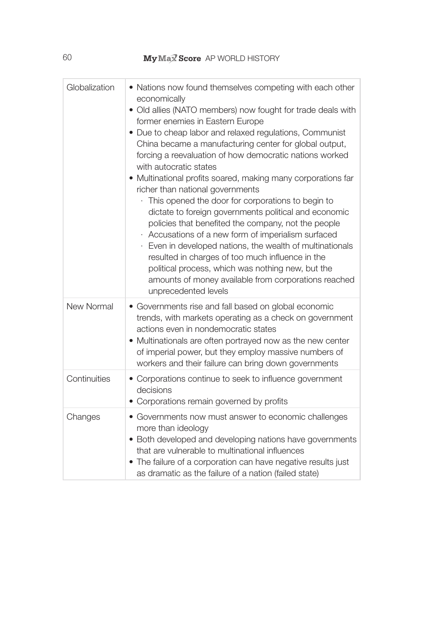## 60 **My Max Score** AP WORLD HISTORY

| Globalization | • Nations now found themselves competing with each other<br>economically<br>· Old allies (NATO members) now fought for trade deals with<br>former enemies in Eastern Europe<br>• Due to cheap labor and relaxed regulations, Communist<br>China became a manufacturing center for global output,<br>forcing a reevaluation of how democratic nations worked<br>with autocratic states<br>• Multinational profits soared, making many corporations far<br>richer than national governments<br>This opened the door for corporations to begin to<br>dictate to foreign governments political and economic<br>policies that benefited the company, not the people<br>Accusations of a new form of imperialism surfaced<br>Even in developed nations, the wealth of multinationals<br>resulted in charges of too much influence in the<br>political process, which was nothing new, but the<br>amounts of money available from corporations reached |
|---------------|-------------------------------------------------------------------------------------------------------------------------------------------------------------------------------------------------------------------------------------------------------------------------------------------------------------------------------------------------------------------------------------------------------------------------------------------------------------------------------------------------------------------------------------------------------------------------------------------------------------------------------------------------------------------------------------------------------------------------------------------------------------------------------------------------------------------------------------------------------------------------------------------------------------------------------------------------|
| New Normal    | unprecedented levels<br>• Governments rise and fall based on global economic<br>trends, with markets operating as a check on government<br>actions even in nondemocratic states<br>• Multinationals are often portrayed now as the new center<br>of imperial power, but they employ massive numbers of<br>workers and their failure can bring down governments                                                                                                                                                                                                                                                                                                                                                                                                                                                                                                                                                                                  |
| Continuities  | • Corporations continue to seek to influence government<br>decisions<br>• Corporations remain governed by profits                                                                                                                                                                                                                                                                                                                                                                                                                                                                                                                                                                                                                                                                                                                                                                                                                               |
| Changes       | • Governments now must answer to economic challenges<br>more than ideology<br>• Both developed and developing nations have governments<br>that are vulnerable to multinational influences<br>• The failure of a corporation can have negative results just<br>as dramatic as the failure of a nation (failed state)                                                                                                                                                                                                                                                                                                                                                                                                                                                                                                                                                                                                                             |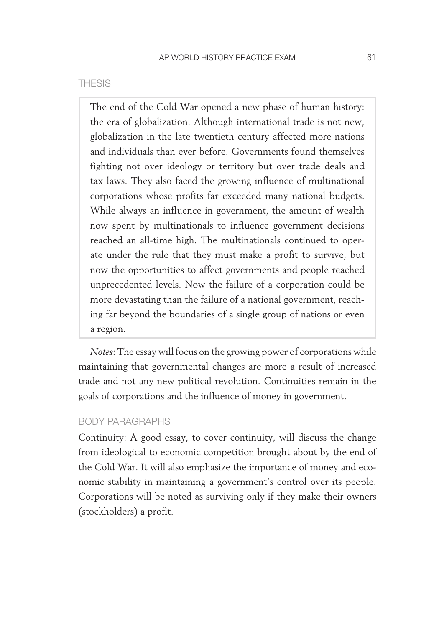#### **THESIS**

The end of the Cold War opened a new phase of human history: the era of globalization. Although international trade is not new, globalization in the late twentieth century affected more nations and individuals than ever before. Governments found themselves fighting not over ideology or territory but over trade deals and tax laws. They also faced the growing influence of multinational corporations whose profits far exceeded many national budgets. While always an influence in government, the amount of wealth now spent by multinationals to influence government decisions reached an all-time high. The multinationals continued to operate under the rule that they must make a profit to survive, but now the opportunities to affect governments and people reached unprecedented levels. Now the failure of a corporation could be more devastating than the failure of a national government, reaching far beyond the boundaries of a single group of nations or even a region.

*Notes*: The essay will focus on the growing power of corporations while maintaining that governmental changes are more a result of increased trade and not any new political revolution. Continuities remain in the goals of corporations and the influence of money in government.

#### body PArAGrAPHS

Continuity: A good essay, to cover continuity, will discuss the change from ideological to economic competition brought about by the end of the Cold War. It will also emphasize the importance of money and economic stability in maintaining a government's control over its people. Corporations will be noted as surviving only if they make their owners (stockholders) a profit.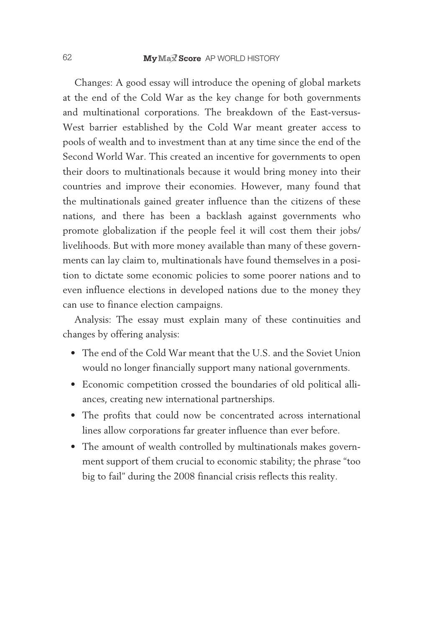Changes: A good essay will introduce the opening of global markets at the end of the Cold War as the key change for both governments and multinational corporations. The breakdown of the East-versus-West barrier established by the Cold War meant greater access to pools of wealth and to investment than at any time since the end of the Second World War. This created an incentive for governments to open their doors to multinationals because it would bring money into their countries and improve their economies. However, many found that the multinationals gained greater influence than the citizens of these nations, and there has been a backlash against governments who promote globalization if the people feel it will cost them their jobs/ livelihoods. But with more money available than many of these governments can lay claim to, multinationals have found themselves in a position to dictate some economic policies to some poorer nations and to even influence elections in developed nations due to the money they can use to finance election campaigns.

Analysis: The essay must explain many of these continuities and changes by offering analysis:

- The end of the Cold War meant that the U.S. and the Soviet Union would no longer financially support many national governments.
- Economic competition crossed the boundaries of old political alliances, creating new international partnerships.
- The profits that could now be concentrated across international lines allow corporations far greater influence than ever before.
- The amount of wealth controlled by multinationals makes government support of them crucial to economic stability; the phrase "too big to fail" during the 2008 financial crisis reflects this reality.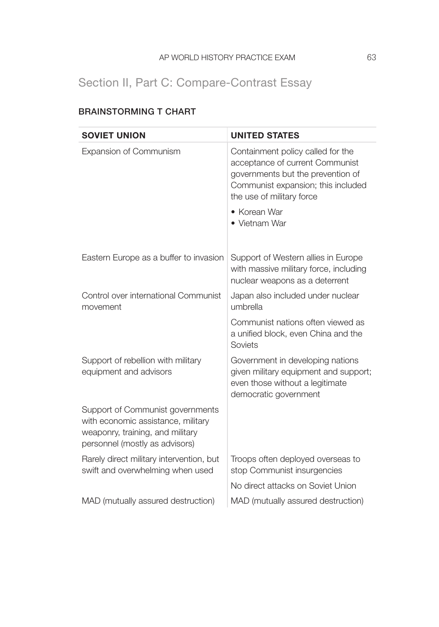## Section II, Part C: Compare-Contrast Essay

| <b>SOVIET UNION</b>                                                                                                                          | <b>UNITED STATES</b>                                                                                                                                                         |
|----------------------------------------------------------------------------------------------------------------------------------------------|------------------------------------------------------------------------------------------------------------------------------------------------------------------------------|
| Expansion of Communism                                                                                                                       | Containment policy called for the<br>acceptance of current Communist<br>governments but the prevention of<br>Communist expansion; this included<br>the use of military force |
|                                                                                                                                              | • Korean War<br>• Vietnam War                                                                                                                                                |
| Eastern Europe as a buffer to invasion                                                                                                       | Support of Western allies in Europe<br>with massive military force, including<br>nuclear weapons as a deterrent                                                              |
| Control over international Communist<br>movement                                                                                             | Japan also included under nuclear<br>umbrella                                                                                                                                |
|                                                                                                                                              | Communist nations often viewed as<br>a unified block, even China and the<br>Soviets                                                                                          |
| Support of rebellion with military<br>equipment and advisors                                                                                 | Government in developing nations<br>given military equipment and support;<br>even those without a legitimate<br>democratic government                                        |
| Support of Communist governments<br>with economic assistance, military<br>weaponry, training, and military<br>personnel (mostly as advisors) |                                                                                                                                                                              |
| Rarely direct military intervention, but<br>swift and overwhelming when used                                                                 | Troops often deployed overseas to<br>stop Communist insurgencies                                                                                                             |
|                                                                                                                                              | No direct attacks on Soviet Union                                                                                                                                            |
| MAD (mutually assured destruction)                                                                                                           | MAD (mutually assured destruction)                                                                                                                                           |

### Brainstorming t Chart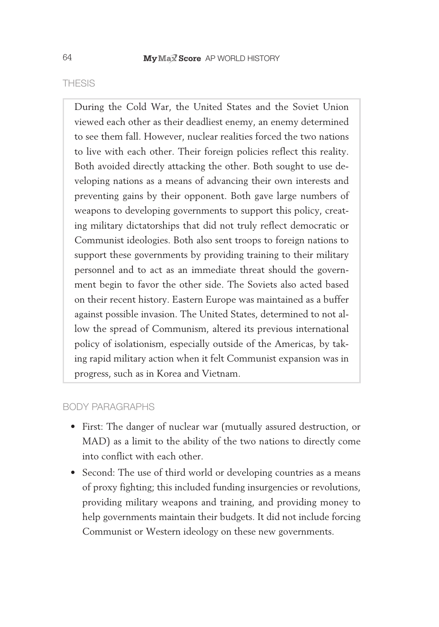#### **THESIS**

During the Cold War, the United States and the Soviet Union viewed each other as their deadliest enemy, an enemy determined to see them fall. However, nuclear realities forced the two nations to live with each other. Their foreign policies reflect this reality. Both avoided directly attacking the other. Both sought to use developing nations as a means of advancing their own interests and preventing gains by their opponent. Both gave large numbers of weapons to developing governments to support this policy, creating military dictatorships that did not truly reflect democratic or Communist ideologies. Both also sent troops to foreign nations to support these governments by providing training to their military personnel and to act as an immediate threat should the government begin to favor the other side. The Soviets also acted based on their recent history. Eastern Europe was maintained as a buffer against possible invasion. The United States, determined to not allow the spread of Communism, altered its previous international policy of isolationism, especially outside of the Americas, by taking rapid military action when it felt Communist expansion was in progress, such as in Korea and Vietnam.

#### body PArAGrAPHS

- First: The danger of nuclear war (mutually assured destruction, or MAD) as a limit to the ability of the two nations to directly come into conflict with each other.
- Second: The use of third world or developing countries as a means of proxy fighting; this included funding insurgencies or revolutions, providing military weapons and training, and providing money to help governments maintain their budgets. It did not include forcing Communist or Western ideology on these new governments.